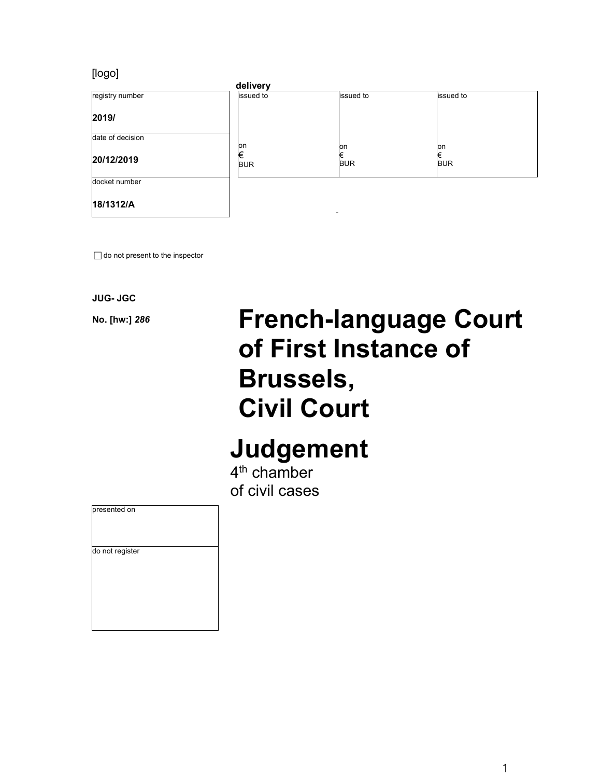### [logo]



 $\Box$  do not present to the inspector

**JUG- JGC** 

# **No. [hw:]** *<sup>286</sup>* **French-language Court of First Instance of Brussels, Civil Court**

## **Judgement**

4<sup>th</sup> chamber of civil cases

| presented on    |  |  |
|-----------------|--|--|
| do not register |  |  |
|                 |  |  |
|                 |  |  |
|                 |  |  |
|                 |  |  |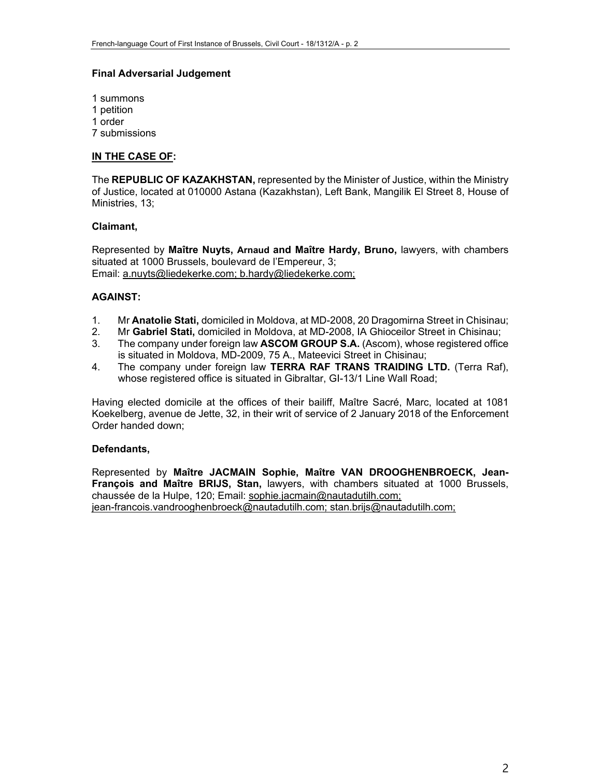#### **Final Adversarial Judgement**

1 summons 1 petition 1 order 7 submissions

#### **IN THE CASE OF:**

The **REPUBLIC OF KAZAKHSTAN,** represented by the Minister of Justice, within the Ministry of Justice, located at 010000 Astana (Kazakhstan), Left Bank, Mangilik El Street 8, House of Ministries, 13;

#### **Claimant,**

Represented by **Maître Nuyts, Arnaud and Maître Hardy, Bruno,** lawyers, with chambers situated at 1000 Brussels, boulevard de l'Empereur, 3; Email: a.nuyts@liedekerke.com; b.hardy@liedekerke.com;

#### **AGAINST:**

- 1. Mr **Anatolie Stati,** domiciled in Moldova, at MD-2008, 20 Dragomirna Street in Chisinau;
- 2. Mr **Gabriel Stati,** domiciled in Moldova, at MD-2008, IA Ghioceilor Street in Chisinau;
- 3. The company under foreign law **ASCOM GROUP S.A.** (Ascom), whose registered office is situated in Moldova, MD-2009, 75 A., Mateevici Street in Chisinau;
- 4. The company under foreign law **TERRA RAF TRANS TRAIDING LTD.** (Terra Raf), whose registered office is situated in Gibraltar, GI-13/1 Line Wall Road;

Having elected domicile at the offices of their bailiff, Maître Sacré, Marc, located at 1081 Koekelberg, avenue de Jette, 32, in their writ of service of 2 January 2018 of the Enforcement Order handed down;

#### **Defendants,**

Represented by **Maître JACMAIN Sophie, Maître VAN DROOGHENBROECK, Jean-François and Maître BRIJS, Stan,** lawyers, with chambers situated at 1000 Brussels, chaussée de la Hulpe, 120; Email: sophie.jacmain@nautadutilh.com; jean-francois.vandrooghenbroeck@nautadutilh.com; stan.brijs@nautadutilh.com;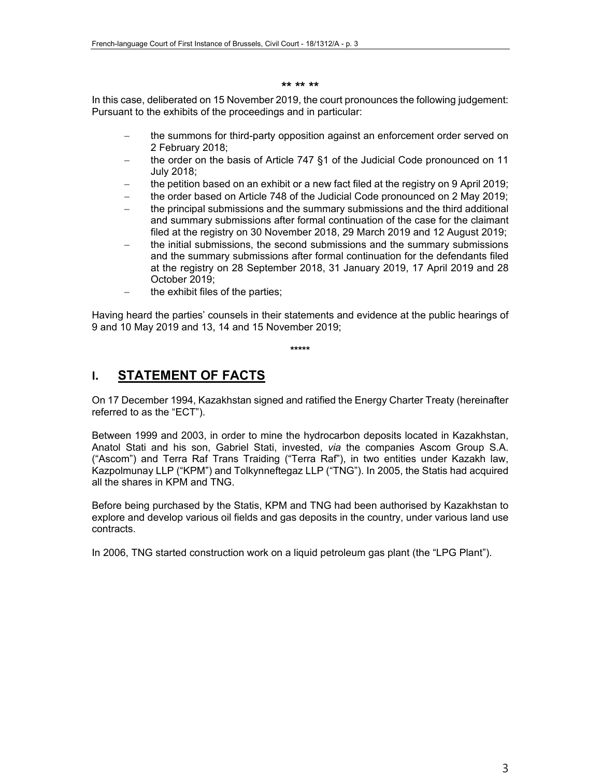#### **\*\* \*\* \*\***

In this case, deliberated on 15 November 2019, the court pronounces the following judgement: Pursuant to the exhibits of the proceedings and in particular:

- the summons for third-party opposition against an enforcement order served on 2 February 2018;
- the order on the basis of Article 747 §1 of the Judicial Code pronounced on 11 July 2018;
- the petition based on an exhibit or a new fact filed at the registry on 9 April 2019;
- the order based on Article 748 of the Judicial Code pronounced on 2 May 2019;
- the principal submissions and the summary submissions and the third additional and summary submissions after formal continuation of the case for the claimant filed at the registry on 30 November 2018, 29 March 2019 and 12 August 2019;
- the initial submissions, the second submissions and the summary submissions and the summary submissions after formal continuation for the defendants filed at the registry on 28 September 2018, 31 January 2019, 17 April 2019 and 28 October 2019;
- $-$  the exhibit files of the parties;

Having heard the parties' counsels in their statements and evidence at the public hearings of 9 and 10 May 2019 and 13, 14 and 15 November 2019;

**\*\*\*\*\*** 

## **I. STATEMENT OF FACTS**

On 17 December 1994, Kazakhstan signed and ratified the Energy Charter Treaty (hereinafter referred to as the "ECT").

Between 1999 and 2003, in order to mine the hydrocarbon deposits located in Kazakhstan, Anatol Stati and his son, Gabriel Stati, invested, *via* the companies Ascom Group S.A. ("Ascom") and Terra Raf Trans Traiding ("Terra Raf"), in two entities under Kazakh law, Kazpolmunay LLP ("KPM") and Tolkynneftegaz LLP ("TNG"). In 2005, the Statis had acquired all the shares in KPM and TNG.

Before being purchased by the Statis, KPM and TNG had been authorised by Kazakhstan to explore and develop various oil fields and gas deposits in the country, under various land use contracts.

In 2006, TNG started construction work on a liquid petroleum gas plant (the "LPG Plant").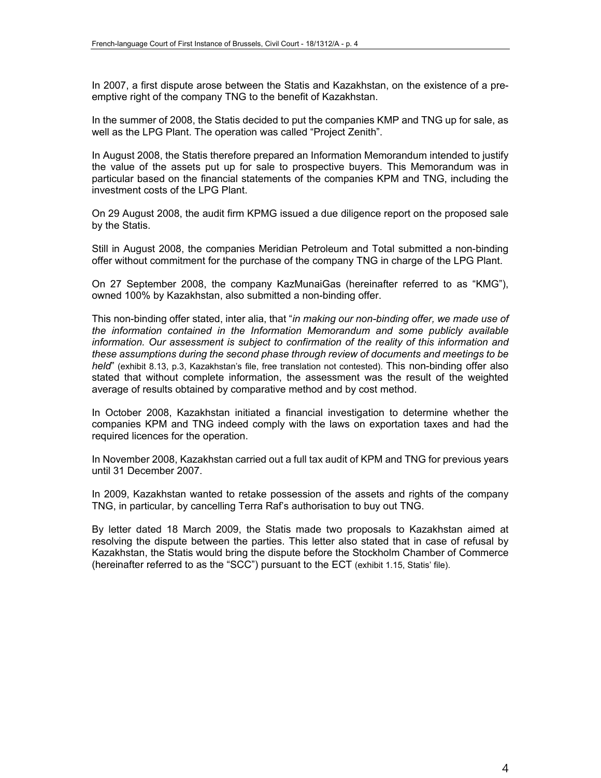In 2007, a first dispute arose between the Statis and Kazakhstan, on the existence of a preemptive right of the company TNG to the benefit of Kazakhstan.

In the summer of 2008, the Statis decided to put the companies KMP and TNG up for sale, as well as the LPG Plant. The operation was called "Project Zenith".

In August 2008, the Statis therefore prepared an Information Memorandum intended to justify the value of the assets put up for sale to prospective buyers. This Memorandum was in particular based on the financial statements of the companies KPM and TNG, including the investment costs of the LPG Plant.

On 29 August 2008, the audit firm KPMG issued a due diligence report on the proposed sale by the Statis.

Still in August 2008, the companies Meridian Petroleum and Total submitted a non-binding offer without commitment for the purchase of the company TNG in charge of the LPG Plant.

On 27 September 2008, the company KazMunaiGas (hereinafter referred to as "KMG"), owned 100% by Kazakhstan, also submitted a non-binding offer.

This non-binding offer stated, inter alia, that "*in making our non-binding offer, we made use of the information contained in the Information Memorandum and some publicly available information. Our assessment is subject to confirmation of the reality of this information and these assumptions during the second phase through review of documents and meetings to be held*" (exhibit 8.13, p.3, Kazakhstan's file, free translation not contested). This non-binding offer also stated that without complete information, the assessment was the result of the weighted average of results obtained by comparative method and by cost method.

In October 2008, Kazakhstan initiated a financial investigation to determine whether the companies KPM and TNG indeed comply with the laws on exportation taxes and had the required licences for the operation.

In November 2008, Kazakhstan carried out a full tax audit of KPM and TNG for previous years until 31 December 2007.

In 2009, Kazakhstan wanted to retake possession of the assets and rights of the company TNG, in particular, by cancelling Terra Raf's authorisation to buy out TNG.

By letter dated 18 March 2009, the Statis made two proposals to Kazakhstan aimed at resolving the dispute between the parties. This letter also stated that in case of refusal by Kazakhstan, the Statis would bring the dispute before the Stockholm Chamber of Commerce (hereinafter referred to as the "SCC") pursuant to the ECT (exhibit 1.15, Statis' file).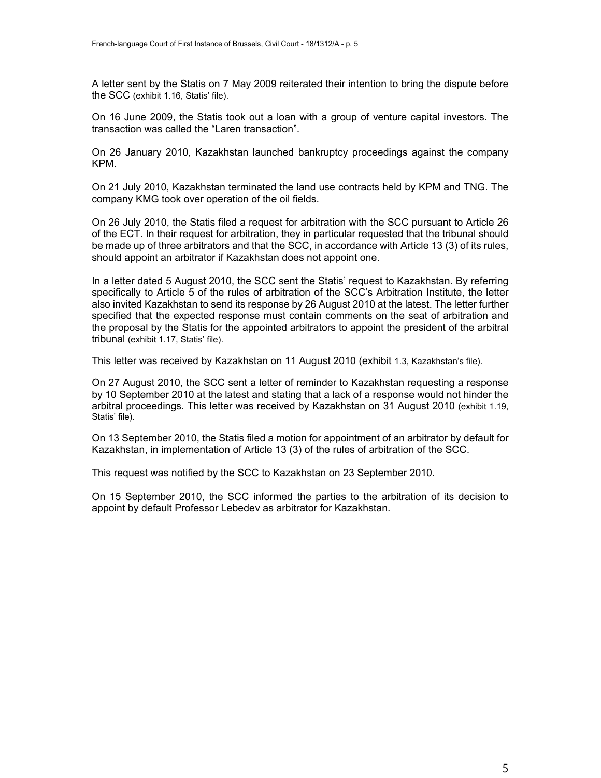A letter sent by the Statis on 7 May 2009 reiterated their intention to bring the dispute before the SCC (exhibit 1.16, Statis' file).

On 16 June 2009, the Statis took out a loan with a group of venture capital investors. The transaction was called the "Laren transaction".

On 26 January 2010, Kazakhstan launched bankruptcy proceedings against the company KPM.

On 21 July 2010, Kazakhstan terminated the land use contracts held by KPM and TNG. The company KMG took over operation of the oil fields.

On 26 July 2010, the Statis filed a request for arbitration with the SCC pursuant to Article 26 of the ECT. In their request for arbitration, they in particular requested that the tribunal should be made up of three arbitrators and that the SCC, in accordance with Article 13 (3) of its rules, should appoint an arbitrator if Kazakhstan does not appoint one.

In a letter dated 5 August 2010, the SCC sent the Statis' request to Kazakhstan. By referring specifically to Article 5 of the rules of arbitration of the SCC's Arbitration Institute, the letter also invited Kazakhstan to send its response by 26 August 2010 at the latest. The letter further specified that the expected response must contain comments on the seat of arbitration and the proposal by the Statis for the appointed arbitrators to appoint the president of the arbitral tribunal (exhibit 1.17, Statis' file).

This letter was received by Kazakhstan on 11 August 2010 (exhibit 1.3, Kazakhstan's file).

On 27 August 2010, the SCC sent a letter of reminder to Kazakhstan requesting a response by 10 September 2010 at the latest and stating that a lack of a response would not hinder the arbitral proceedings. This letter was received by Kazakhstan on 31 August 2010 (exhibit 1.19, Statis' file).

On 13 September 2010, the Statis filed a motion for appointment of an arbitrator by default for Kazakhstan, in implementation of Article 13 (3) of the rules of arbitration of the SCC.

This request was notified by the SCC to Kazakhstan on 23 September 2010.

On 15 September 2010, the SCC informed the parties to the arbitration of its decision to appoint by default Professor Lebedev as arbitrator for Kazakhstan.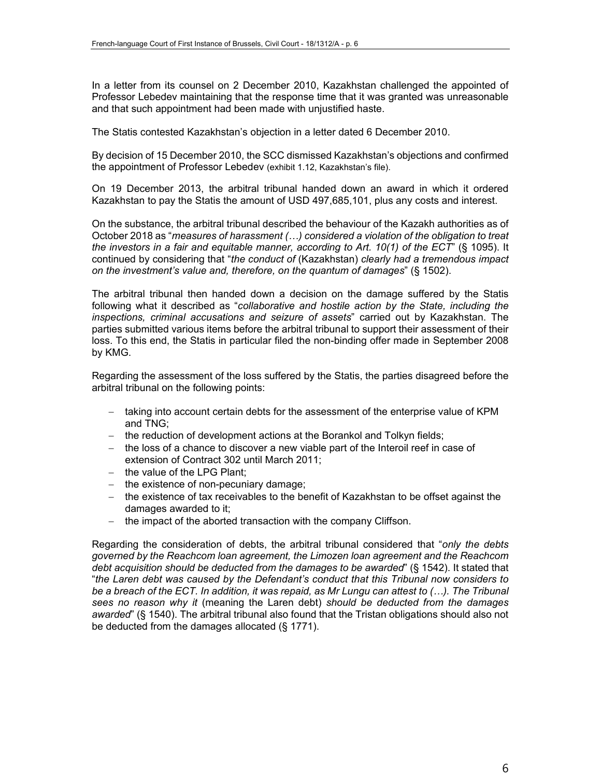In a letter from its counsel on 2 December 2010, Kazakhstan challenged the appointed of Professor Lebedev maintaining that the response time that it was granted was unreasonable and that such appointment had been made with unjustified haste.

The Statis contested Kazakhstan's objection in a letter dated 6 December 2010.

By decision of 15 December 2010, the SCC dismissed Kazakhstan's objections and confirmed the appointment of Professor Lebedev (exhibit 1.12, Kazakhstan's file).

On 19 December 2013, the arbitral tribunal handed down an award in which it ordered Kazakhstan to pay the Statis the amount of USD 497,685,101, plus any costs and interest.

On the substance, the arbitral tribunal described the behaviour of the Kazakh authorities as of October 2018 as "*measures of harassment (…) considered a violation of the obligation to treat the investors in a fair and equitable manner, according to Art. 10(1) of the ECT*" (§ 1095). It continued by considering that "*the conduct of* (Kazakhstan) *clearly had a tremendous impact on the investment's value and, therefore, on the quantum of damages*" (§ 1502).

The arbitral tribunal then handed down a decision on the damage suffered by the Statis following what it described as "*collaborative and hostile action by the State, including the inspections, criminal accusations and seizure of assets*" carried out by Kazakhstan. The parties submitted various items before the arbitral tribunal to support their assessment of their loss. To this end, the Statis in particular filed the non-binding offer made in September 2008 by KMG.

Regarding the assessment of the loss suffered by the Statis, the parties disagreed before the arbitral tribunal on the following points:

- taking into account certain debts for the assessment of the enterprise value of KPM and TNG;
- the reduction of development actions at the Borankol and Tolkyn fields;
- $-$  the loss of a chance to discover a new viable part of the Interoil reef in case of extension of Contract 302 until March 2011;
- $-$  the value of the LPG Plant;
- $-$  the existence of non-pecuniary damage;
- the existence of tax receivables to the benefit of Kazakhstan to be offset against the damages awarded to it;
- $-$  the impact of the aborted transaction with the company Cliffson.

Regarding the consideration of debts, the arbitral tribunal considered that "*only the debts governed by the Reachcom loan agreement, the Limozen loan agreement and the Reachcom debt acquisition should be deducted from the damages to be awarded*" (§ 1542). It stated that "*the Laren debt was caused by the Defendant's conduct that this Tribunal now considers to*  be a breach of the ECT. In addition, it was repaid, as Mr Lungu can attest to (...). The Tribunal *sees no reason why it* (meaning the Laren debt) *should be deducted from the damages awarded*" (§ 1540). The arbitral tribunal also found that the Tristan obligations should also not be deducted from the damages allocated (§ 1771).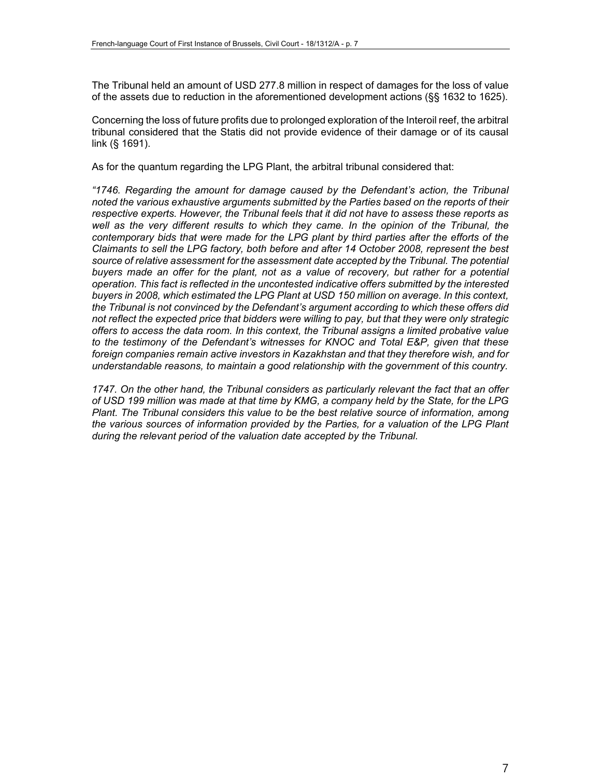The Tribunal held an amount of USD 277.8 million in respect of damages for the loss of value of the assets due to reduction in the aforementioned development actions (§§ 1632 to 1625).

Concerning the loss of future profits due to prolonged exploration of the Interoil reef, the arbitral tribunal considered that the Statis did not provide evidence of their damage or of its causal link (§ 1691).

As for the quantum regarding the LPG Plant, the arbitral tribunal considered that:

*"1746. Regarding the amount for damage caused by the Defendant's action, the Tribunal noted the various exhaustive arguments submitted by the Parties based on the reports of their respective experts. However, the Tribunal feels that it did not have to assess these reports as*  well as the very different results to which they came. In the opinion of the Tribunal, the *contemporary bids that were made for the LPG plant by third parties after the efforts of the Claimants to sell the LPG factory, both before and after 14 October 2008, represent the best*  source of relative assessment for the assessment date accepted by the Tribunal. The potential buyers made an offer for the plant, not as a value of recovery, but rather for a potential *operation. This fact is reflected in the uncontested indicative offers submitted by the interested buyers in 2008, which estimated the LPG Plant at USD 150 million on average. In this context, the Tribunal is not convinced by the Defendant's argument according to which these offers did not reflect the expected price that bidders were willing to pay, but that they were only strategic offers to access the data room. In this context, the Tribunal assigns a limited probative value to the testimony of the Defendant's witnesses for KNOC and Total E&P, given that these foreign companies remain active investors in Kazakhstan and that they therefore wish, and for understandable reasons, to maintain a good relationship with the government of this country.* 

*1747. On the other hand, the Tribunal considers as particularly relevant the fact that an offer of USD 199 million was made at that time by KMG, a company held by the State, for the LPG Plant. The Tribunal considers this value to be the best relative source of information, among the various sources of information provided by the Parties, for a valuation of the LPG Plant during the relevant period of the valuation date accepted by the Tribunal.*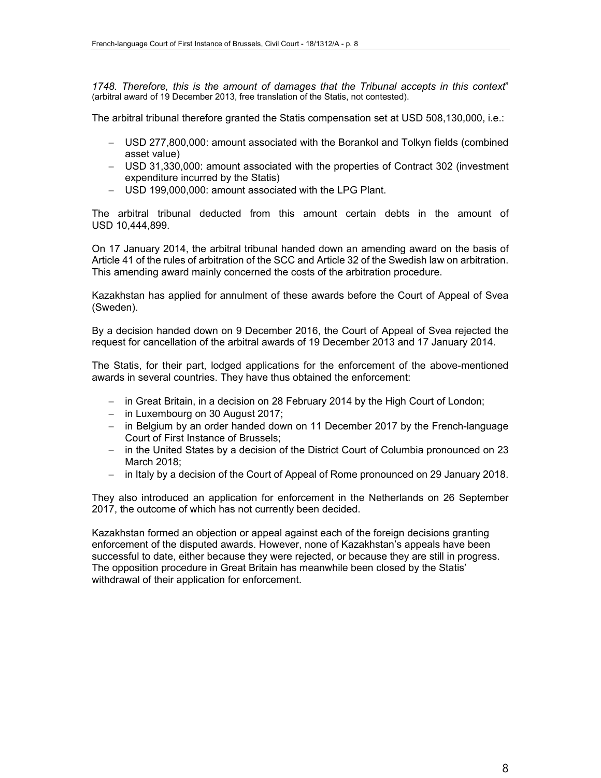*1748. Therefore, this is the amount of damages that the Tribunal accepts in this context*" (arbitral award of 19 December 2013, free translation of the Statis, not contested).

The arbitral tribunal therefore granted the Statis compensation set at USD 508,130,000, i.e.:

- USD 277,800,000: amount associated with the Borankol and Tolkyn fields (combined asset value)
- USD 31,330,000: amount associated with the properties of Contract 302 (investment expenditure incurred by the Statis)
- USD 199,000,000: amount associated with the LPG Plant.

The arbitral tribunal deducted from this amount certain debts in the amount of USD 10,444,899.

On 17 January 2014, the arbitral tribunal handed down an amending award on the basis of Article 41 of the rules of arbitration of the SCC and Article 32 of the Swedish law on arbitration. This amending award mainly concerned the costs of the arbitration procedure.

Kazakhstan has applied for annulment of these awards before the Court of Appeal of Svea (Sweden).

By a decision handed down on 9 December 2016, the Court of Appeal of Svea rejected the request for cancellation of the arbitral awards of 19 December 2013 and 17 January 2014.

The Statis, for their part, lodged applications for the enforcement of the above-mentioned awards in several countries. They have thus obtained the enforcement:

- in Great Britain, in a decision on 28 February 2014 by the High Court of London;
- $-$  in Luxembourg on 30 August 2017;
- in Belgium by an order handed down on 11 December 2017 by the French-language Court of First Instance of Brussels;
- in the United States by a decision of the District Court of Columbia pronounced on 23 March 2018;
- in Italy by a decision of the Court of Appeal of Rome pronounced on 29 January 2018.

They also introduced an application for enforcement in the Netherlands on 26 September 2017, the outcome of which has not currently been decided.

Kazakhstan formed an objection or appeal against each of the foreign decisions granting enforcement of the disputed awards. However, none of Kazakhstan's appeals have been successful to date, either because they were rejected, or because they are still in progress. The opposition procedure in Great Britain has meanwhile been closed by the Statis' withdrawal of their application for enforcement.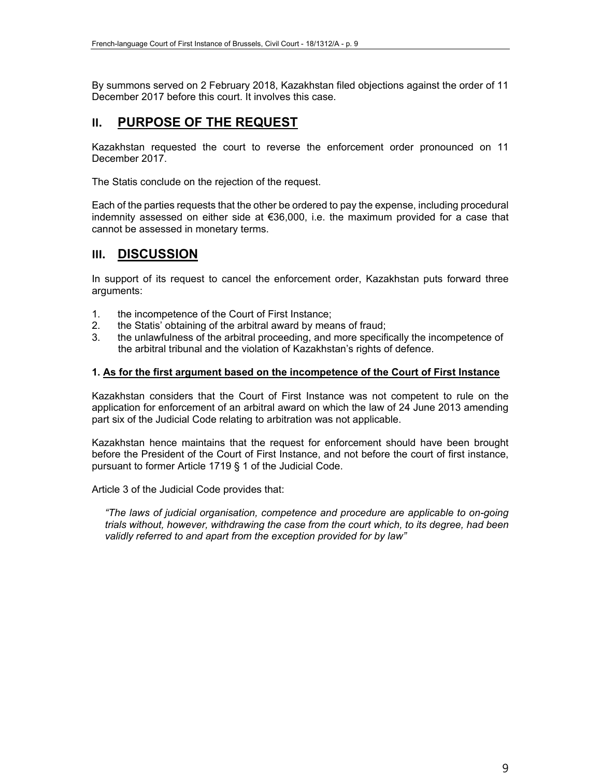By summons served on 2 February 2018, Kazakhstan filed objections against the order of 11 December 2017 before this court. It involves this case.

## **II. PURPOSE OF THE REQUEST**

Kazakhstan requested the court to reverse the enforcement order pronounced on 11 December 2017.

The Statis conclude on the rejection of the request.

Each of the parties requests that the other be ordered to pay the expense, including procedural indemnity assessed on either side at €36,000, i.e. the maximum provided for a case that cannot be assessed in monetary terms.

## **III. DISCUSSION**

In support of its request to cancel the enforcement order, Kazakhstan puts forward three arguments:

- 1. the incompetence of the Court of First Instance;
- 2. the Statis' obtaining of the arbitral award by means of fraud;
- 3. the unlawfulness of the arbitral proceeding, and more specifically the incompetence of the arbitral tribunal and the violation of Kazakhstan's rights of defence.

#### **1. As for the first argument based on the incompetence of the Court of First Instance**

Kazakhstan considers that the Court of First Instance was not competent to rule on the application for enforcement of an arbitral award on which the law of 24 June 2013 amending part six of the Judicial Code relating to arbitration was not applicable.

Kazakhstan hence maintains that the request for enforcement should have been brought before the President of the Court of First Instance, and not before the court of first instance, pursuant to former Article 1719 § 1 of the Judicial Code.

Article 3 of the Judicial Code provides that:

*"The laws of judicial organisation, competence and procedure are applicable to on-going trials without, however, withdrawing the case from the court which, to its degree, had been validly referred to and apart from the exception provided for by law"*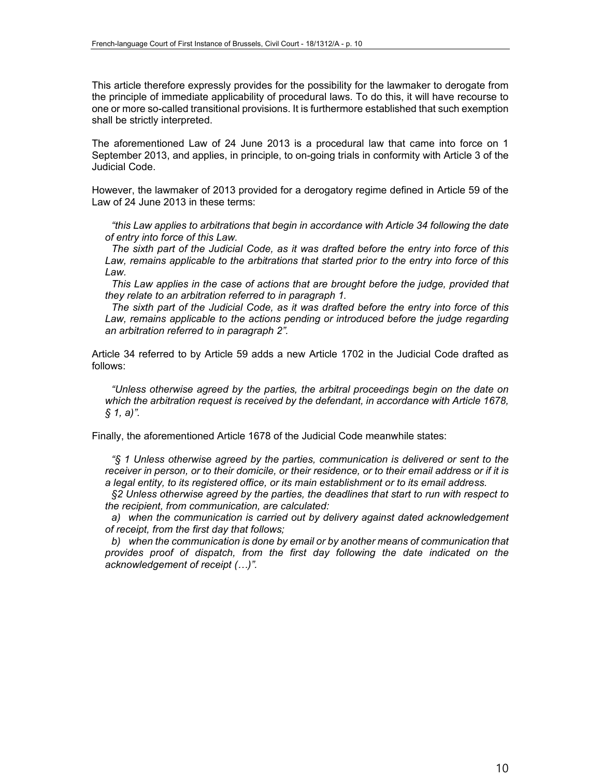This article therefore expressly provides for the possibility for the lawmaker to derogate from the principle of immediate applicability of procedural laws. To do this, it will have recourse to one or more so-called transitional provisions. It is furthermore established that such exemption shall be strictly interpreted.

The aforementioned Law of 24 June 2013 is a procedural law that came into force on 1 September 2013, and applies, in principle, to on-going trials in conformity with Article 3 of the Judicial Code.

However, the lawmaker of 2013 provided for a derogatory regime defined in Article 59 of the Law of 24 June 2013 in these terms:

*"this Law applies to arbitrations that begin in accordance with Article 34 following the date of entry into force of this Law.*

*The sixth part of the Judicial Code, as it was drafted before the entry into force of this Law, remains applicable to the arbitrations that started prior to the entry into force of this Law.*

*This Law applies in the case of actions that are brought before the judge, provided that they relate to an arbitration referred to in paragraph 1.*

*The sixth part of the Judicial Code, as it was drafted before the entry into force of this*  Law, remains applicable to the actions pending or introduced before the judge regarding *an arbitration referred to in paragraph 2".*

Article 34 referred to by Article 59 adds a new Article 1702 in the Judicial Code drafted as follows:

*"Unless otherwise agreed by the parties, the arbitral proceedings begin on the date on which the arbitration request is received by the defendant, in accordance with Article 1678, § 1, a)".*

Finally, the aforementioned Article 1678 of the Judicial Code meanwhile states:

*"§ 1 Unless otherwise agreed by the parties, communication is delivered or sent to the receiver in person, or to their domicile, or their residence, or to their email address or if it is a legal entity, to its registered office, or its main establishment or to its email address.*

*§2 Unless otherwise agreed by the parties, the deadlines that start to run with respect to the recipient, from communication, are calculated:*

*a) when the communication is carried out by delivery against dated acknowledgement of receipt, from the first day that follows;*

*b) when the communication is done by email or by another means of communication that provides proof of dispatch, from the first day following the date indicated on the acknowledgement of receipt (…)".*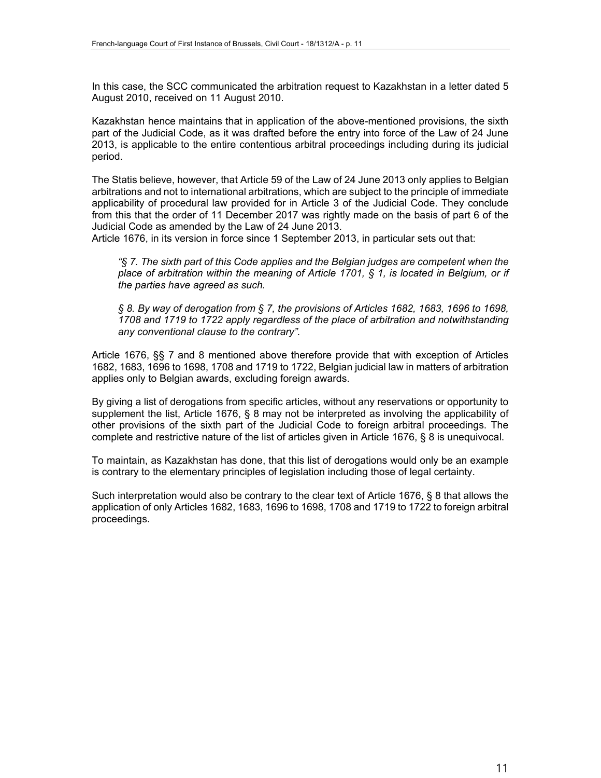In this case, the SCC communicated the arbitration request to Kazakhstan in a letter dated 5 August 2010, received on 11 August 2010.

Kazakhstan hence maintains that in application of the above-mentioned provisions, the sixth part of the Judicial Code, as it was drafted before the entry into force of the Law of 24 June 2013, is applicable to the entire contentious arbitral proceedings including during its judicial period.

The Statis believe, however, that Article 59 of the Law of 24 June 2013 only applies to Belgian arbitrations and not to international arbitrations, which are subject to the principle of immediate applicability of procedural law provided for in Article 3 of the Judicial Code. They conclude from this that the order of 11 December 2017 was rightly made on the basis of part 6 of the Judicial Code as amended by the Law of 24 June 2013.

Article 1676, in its version in force since 1 September 2013, in particular sets out that:

*"§ 7. The sixth part of this Code applies and the Belgian judges are competent when the place of arbitration within the meaning of Article 1701, § 1, is located in Belgium, or if the parties have agreed as such.* 

*§ 8. By way of derogation from § 7, the provisions of Articles 1682, 1683, 1696 to 1698, 1708 and 1719 to 1722 apply regardless of the place of arbitration and notwithstanding any conventional clause to the contrary".* 

Article 1676, §§ 7 and 8 mentioned above therefore provide that with exception of Articles 1682, 1683, 1696 to 1698, 1708 and 1719 to 1722, Belgian judicial law in matters of arbitration applies only to Belgian awards, excluding foreign awards.

By giving a list of derogations from specific articles, without any reservations or opportunity to supplement the list, Article 1676, § 8 may not be interpreted as involving the applicability of other provisions of the sixth part of the Judicial Code to foreign arbitral proceedings. The complete and restrictive nature of the list of articles given in Article 1676, § 8 is unequivocal.

To maintain, as Kazakhstan has done, that this list of derogations would only be an example is contrary to the elementary principles of legislation including those of legal certainty.

Such interpretation would also be contrary to the clear text of Article 1676, § 8 that allows the application of only Articles 1682, 1683, 1696 to 1698, 1708 and 1719 to 1722 to foreign arbitral proceedings.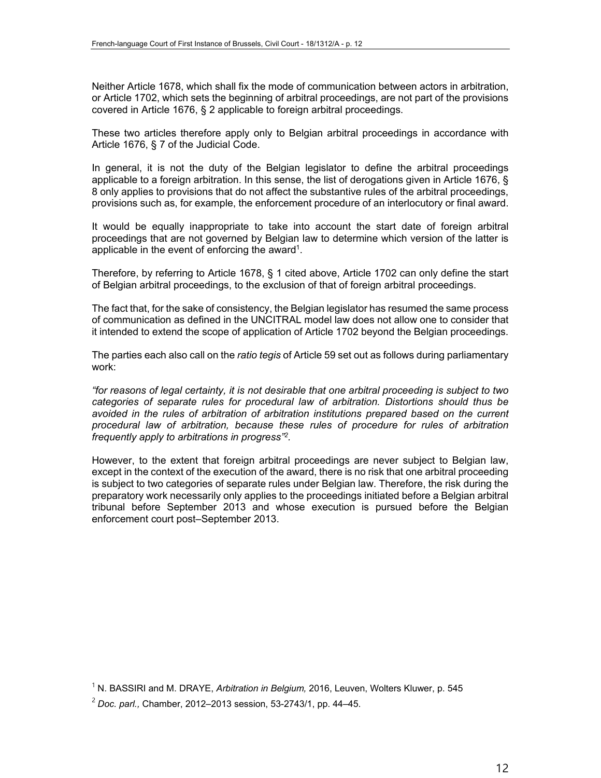Neither Article 1678, which shall fix the mode of communication between actors in arbitration, or Article 1702, which sets the beginning of arbitral proceedings, are not part of the provisions covered in Article 1676, § 2 applicable to foreign arbitral proceedings.

These two articles therefore apply only to Belgian arbitral proceedings in accordance with Article 1676, § 7 of the Judicial Code.

In general, it is not the duty of the Belgian legislator to define the arbitral proceedings applicable to a foreign arbitration. In this sense, the list of derogations given in Article 1676, § 8 only applies to provisions that do not affect the substantive rules of the arbitral proceedings, provisions such as, for example, the enforcement procedure of an interlocutory or final award.

It would be equally inappropriate to take into account the start date of foreign arbitral proceedings that are not governed by Belgian law to determine which version of the latter is applicable in the event of enforcing the award<sup>1</sup>.

Therefore, by referring to Article 1678, § 1 cited above, Article 1702 can only define the start of Belgian arbitral proceedings, to the exclusion of that of foreign arbitral proceedings.

The fact that, for the sake of consistency, the Belgian legislator has resumed the same process of communication as defined in the UNCITRAL model law does not allow one to consider that it intended to extend the scope of application of Article 1702 beyond the Belgian proceedings.

The parties each also call on the *ratio tegis* of Article 59 set out as follows during parliamentary work:

*"for reasons of legal certainty, it is not desirable that one arbitral proceeding is subject to two categories of separate rules for procedural law of arbitration. Distortions should thus be avoided in the rules of arbitration of arbitration institutions prepared based on the current procedural law of arbitration, because these rules of procedure for rules of arbitration frequently apply to arbitrations in progress"2.* 

However, to the extent that foreign arbitral proceedings are never subject to Belgian law, except in the context of the execution of the award, there is no risk that one arbitral proceeding is subject to two categories of separate rules under Belgian law. Therefore, the risk during the preparatory work necessarily only applies to the proceedings initiated before a Belgian arbitral tribunal before September 2013 and whose execution is pursued before the Belgian enforcement court post–September 2013.

<sup>1</sup> N. BASSIRI and M. DRAYE, *Arbitration in Belgium,* 2016, Leuven, Wolters Kluwer, p. 545

<sup>2</sup> *Doc. parl.,* Chamber, 2012–2013 session, 53-2743/1, pp. 44–45.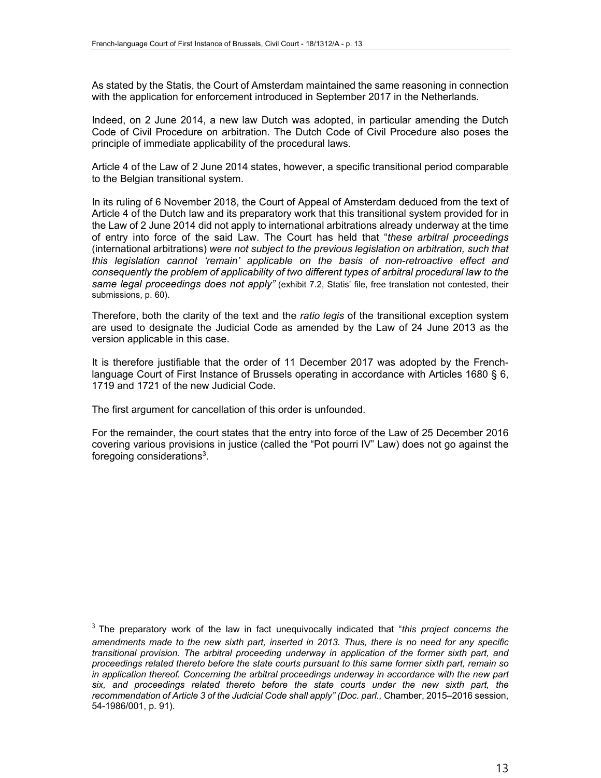As stated by the Statis, the Court of Amsterdam maintained the same reasoning in connection with the application for enforcement introduced in September 2017 in the Netherlands.

Indeed, on 2 June 2014, a new law Dutch was adopted, in particular amending the Dutch Code of Civil Procedure on arbitration. The Dutch Code of Civil Procedure also poses the principle of immediate applicability of the procedural laws.

Article 4 of the Law of 2 June 2014 states, however, a specific transitional period comparable to the Belgian transitional system.

In its ruling of 6 November 2018, the Court of Appeal of Amsterdam deduced from the text of Article 4 of the Dutch law and its preparatory work that this transitional system provided for in the Law of 2 June 2014 did not apply to international arbitrations already underway at the time of entry into force of the said Law. The Court has held that "*these arbitral proceedings* (international arbitrations) *were not subject to the previous legislation on arbitration, such that this legislation cannot 'remain' applicable on the basis of non-retroactive effect and consequently the problem of applicability of two different types of arbitral procedural law to the same legal proceedings does not apply"* (exhibit 7.2, Statis' file, free translation not contested, their submissions, p. 60).

Therefore, both the clarity of the text and the *ratio legis* of the transitional exception system are used to designate the Judicial Code as amended by the Law of 24 June 2013 as the version applicable in this case.

It is therefore justifiable that the order of 11 December 2017 was adopted by the Frenchlanguage Court of First Instance of Brussels operating in accordance with Articles 1680 § 6, 1719 and 1721 of the new Judicial Code.

The first argument for cancellation of this order is unfounded.

For the remainder, the court states that the entry into force of the Law of 25 December 2016 covering various provisions in justice (called the "Pot pourri IV" Law) does not go against the foregoing considerations $3$ .

<sup>3</sup> The preparatory work of the law in fact unequivocally indicated that "*this project concerns the amendments made to the new sixth part, inserted in 2013. Thus, there is no need for any specific transitional provision. The arbitral proceeding underway in application of the former sixth part, and proceedings related thereto before the state courts pursuant to this same former sixth part, remain so in application thereof. Concerning the arbitral proceedings underway in accordance with the new part six, and proceedings related thereto before the state courts under the new sixth part, the recommendation of Article 3 of the Judicial Code shall apply" (Doc. parl.,* Chamber, 2015–2016 session, 54-1986/001, p. 91).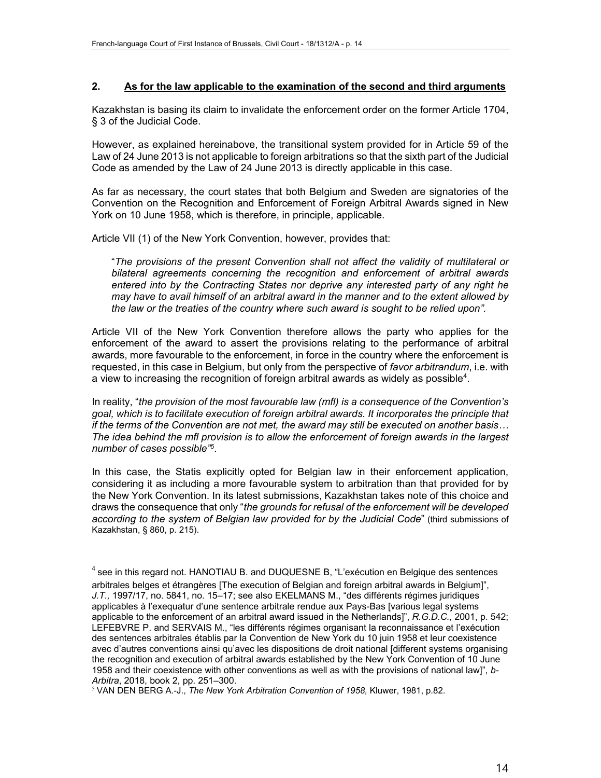#### **2. As for the law applicable to the examination of the second and third arguments**

Kazakhstan is basing its claim to invalidate the enforcement order on the former Article 1704, § 3 of the Judicial Code.

However, as explained hereinabove, the transitional system provided for in Article 59 of the Law of 24 June 2013 is not applicable to foreign arbitrations so that the sixth part of the Judicial Code as amended by the Law of 24 June 2013 is directly applicable in this case.

As far as necessary, the court states that both Belgium and Sweden are signatories of the Convention on the Recognition and Enforcement of Foreign Arbitral Awards signed in New York on 10 June 1958, which is therefore, in principle, applicable.

Article VII (1) of the New York Convention, however, provides that:

"*The provisions of the present Convention shall not affect the validity of multilateral or bilateral agreements concerning the recognition and enforcement of arbitral awards entered into by the Contracting States nor deprive any interested party of any right he may have to avail himself of an arbitral award in the manner and to the extent allowed by the law or the treaties of the country where such award is sought to be relied upon".* 

Article VII of the New York Convention therefore allows the party who applies for the enforcement of the award to assert the provisions relating to the performance of arbitral awards, more favourable to the enforcement, in force in the country where the enforcement is requested, in this case in Belgium, but only from the perspective of *favor arbitrandum*, i.e. with a view to increasing the recognition of foreign arbitral awards as widely as possible<sup>4</sup>.

In reality, "*the provision of the most favourable law (mfl) is a consequence of the Convention's goal, which is to facilitate execution of foreign arbitral awards. It incorporates the principle that if the terms of the Convention are not met, the award may still be executed on another basis… The idea behind the mfl provision is to allow the enforcement of foreign awards in the largest number of cases possible"5*.

In this case, the Statis explicitly opted for Belgian law in their enforcement application, considering it as including a more favourable system to arbitration than that provided for by the New York Convention. In its latest submissions, Kazakhstan takes note of this choice and draws the consequence that only "*the grounds for refusal of the enforcement will be developed according to the system of Belgian law provided for by the Judicial Code*" (third submissions of Kazakhstan, § 860, p. 215).

 $4$  see in this regard not. HANOTIAU B. and DUQUESNE B, "L'exécution en Belgique des sentences arbitrales belges et étrangères [The execution of Belgian and foreign arbitral awards in Belgium]", *J.T.,* 1997/17, no. 5841, no. 15–17; see also EKELMANS M., "des différents régimes juridiques applicables à l'exequatur d'une sentence arbitrale rendue aux Pays-Bas [various legal systems applicable to the enforcement of an arbitral award issued in the Netherlands]", *R.G.D.C.,* 2001, p. 542; LEFEBVRE P. and SERVAIS M., "les différents régimes organisant la reconnaissance et l'exécution des sentences arbitrales établis par la Convention de New York du 10 juin 1958 et leur coexistence avec d'autres conventions ainsi qu'avec les dispositions de droit national [different systems organising the recognition and execution of arbitral awards established by the New York Convention of 10 June 1958 and their coexistence with other conventions as well as with the provisions of national law]", *b-Arbitra*, 2018, book 2, pp. 251–300.

<sup>5</sup> VAN DEN BERG A.-J., *The New York Arbitration Convention of 1958,* Kluwer, 1981, p.82.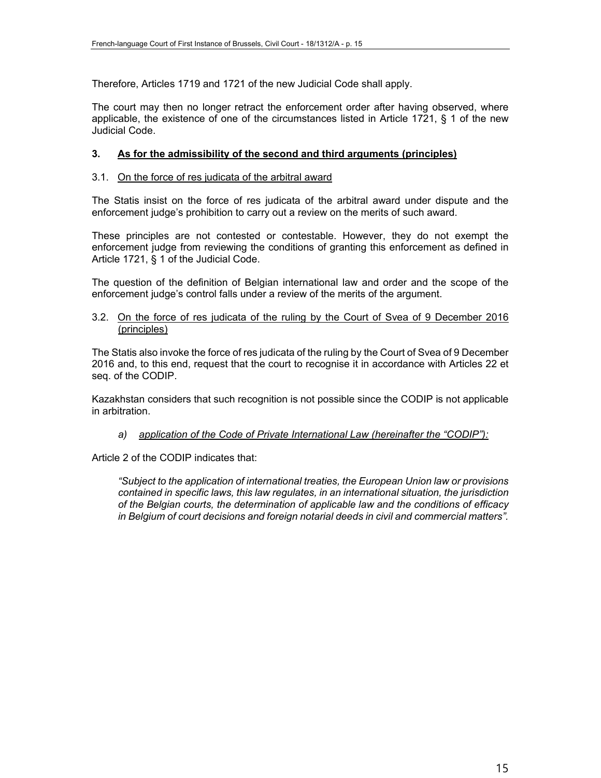Therefore, Articles 1719 and 1721 of the new Judicial Code shall apply.

The court may then no longer retract the enforcement order after having observed, where applicable, the existence of one of the circumstances listed in Article 1721, § 1 of the new Judicial Code.

#### **3. As for the admissibility of the second and third arguments (principles)**

#### 3.1. On the force of res judicata of the arbitral award

The Statis insist on the force of res judicata of the arbitral award under dispute and the enforcement judge's prohibition to carry out a review on the merits of such award.

These principles are not contested or contestable. However, they do not exempt the enforcement judge from reviewing the conditions of granting this enforcement as defined in Article 1721, § 1 of the Judicial Code.

The question of the definition of Belgian international law and order and the scope of the enforcement judge's control falls under a review of the merits of the argument.

#### 3.2. On the force of res judicata of the ruling by the Court of Svea of 9 December 2016 (principles)

The Statis also invoke the force of res judicata of the ruling by the Court of Svea of 9 December 2016 and, to this end, request that the court to recognise it in accordance with Articles 22 et seq. of the CODIP.

Kazakhstan considers that such recognition is not possible since the CODIP is not applicable in arbitration.

#### *a) application of the Code of Private International Law (hereinafter the "CODIP"):*

Article 2 of the CODIP indicates that:

*"Subject to the application of international treaties, the European Union law or provisions contained in specific laws, this law regulates, in an international situation, the jurisdiction of the Belgian courts, the determination of applicable law and the conditions of efficacy in Belgium of court decisions and foreign notarial deeds in civil and commercial matters".*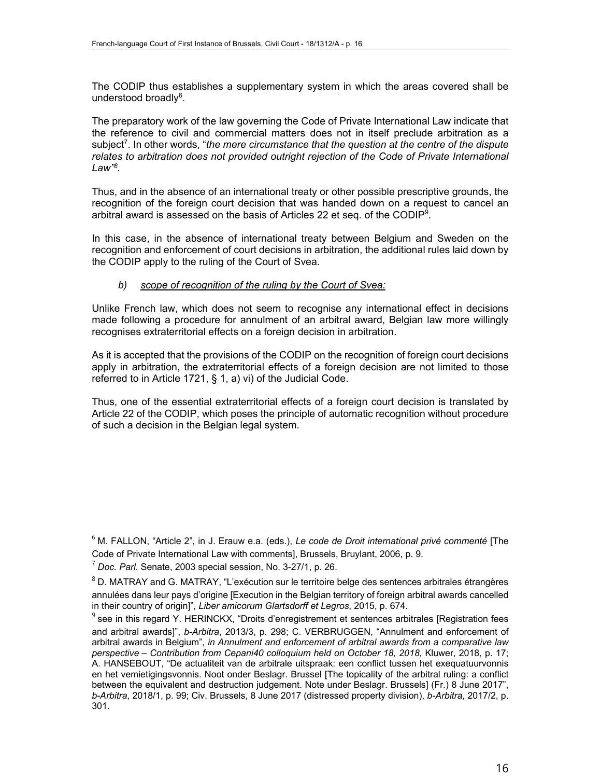The CODIP thus establishes a supplementary system in which the areas covered shall be understood broadly<sup>6</sup>.

The preparatory work of the law governing the Code of Private International Law indicate that the reference to civil and commercial matters does not in itself preclude arbitration as a subject<sup>7</sup>. In other words, "the mere circumstance that the question at the centre of the dispute relates to arbitration does not provided outright rejection of the Code of Private International *Law"8.* 

Thus, and in the absence of an international treaty or other possible prescriptive grounds, the recognition of the foreign court decision that was handed down on a request to cancel an arbitral award is assessed on the basis of Articles 22 et seq. of the CODIP<sup>9</sup>.

In this case, in the absence of international treaty between Belgium and Sweden on the recognition and enforcement of court decisions in arbitration, the additional rules laid down by the CODIP apply to the ruling of the Court of Svea.

#### *b) scope of recognition of the ruling by the Court of Svea:*

Unlike French law, which does not seem to recognise any international effect in decisions made following a procedure for annulment of an arbitral award, Belgian law more willingly recognises extraterritorial effects on a foreign decision in arbitration.

As it is accepted that the provisions of the CODIP on the recognition of foreign court decisions apply in arbitration, the extraterritorial effects of a foreign decision are not limited to those referred to in Article 1721, § 1, a) vi) of the Judicial Code.

Thus, one of the essential extraterritorial effects of a foreign court decision is translated by Article 22 of the CODIP, which poses the principle of automatic recognition without procedure of such a decision in the Belgian legal system.

<sup>6</sup> M. FALLON, "Article 2", in J. Erauw e.a. (eds.), *Le code de Droit international privé commenté* [The Code of Private International Law with comments], Brussels, Bruylant, 2006, p. 9.

<sup>7</sup> *Doc. Parl.* Senate, 2003 special session, No. 3-27/1, p. 26.

 $8$  D. MATRAY and G. MATRAY, "L'exécution sur le territoire belge des sentences arbitrales étrangères annulées dans leur pays d'origine [Execution in the Belgian territory of foreign arbitral awards cancelled in their country of origin]", *Liber amicorum Glartsdorff et Legros*, 2015, p. 674.

 $^9$  see in this regard Y. HERINCKX, "Droits d'enregistrement et sentences arbitrales [Registration fees and arbitral awards]", *b-Arbitra*, 2013/3, p. 298; C. VERBRUGGEN, "Annulment and enforcement of arbitral awards in Belgium", *in Annulment and enforcement of arbitral awards from a comparative law perspective – Contribution from Cepani40 colloquium held on October 18, 2018,* Kluwer, 2018, p. 17; A. HANSEBOUT, "De actualiteit van de arbitrale uitspraak: een conflict tussen het exequatuurvonnis en het vemietigingsvonnis. Noot onder Beslagr. Brussel [The topicality of the arbitral ruling: a conflict between the equivalent and destruction judgement. Note under Beslagr. Brussels] (Fr.) 8 June 2017", *b-Arbitra*, 2018/1, p. 99; Civ. Brussels, 8 June 2017 (distressed property division), *b-Arbitra*, 2017/2, p. 301.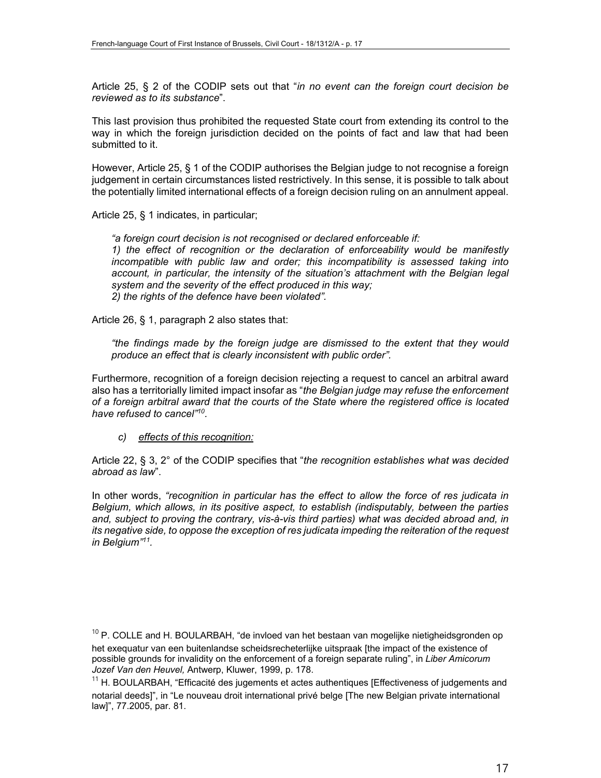Article 25, § 2 of the CODIP sets out that "*in no event can the foreign court decision be reviewed as to its substance*".

This last provision thus prohibited the requested State court from extending its control to the way in which the foreign jurisdiction decided on the points of fact and law that had been submitted to it.

However, Article 25, § 1 of the CODIP authorises the Belgian judge to not recognise a foreign judgement in certain circumstances listed restrictively. In this sense, it is possible to talk about the potentially limited international effects of a foreign decision ruling on an annulment appeal.

Article 25, § 1 indicates, in particular;

*"a foreign court decision is not recognised or declared enforceable if:*

*1) the effect of recognition or the declaration of enforceability would be manifestly incompatible with public law and order; this incompatibility is assessed taking into*  account, in particular, the intensity of the situation's attachment with the Belgian legal *system and the severity of the effect produced in this way; 2) the rights of the defence have been violated".*

Article 26, § 1, paragraph 2 also states that:

*"the findings made by the foreign judge are dismissed to the extent that they would produce an effect that is clearly inconsistent with public order".*

Furthermore, recognition of a foreign decision rejecting a request to cancel an arbitral award also has a territorially limited impact insofar as "*the Belgian judge may refuse the enforcement of a foreign arbitral award that the courts of the State where the registered office is located have refused to cancel"10.* 

*c) effects of this recognition:*

Article 22, § 3, 2° of the CODIP specifies that "*the recognition establishes what was decided abroad as law*".

In other words, *"recognition in particular has the effect to allow the force of res judicata in Belgium, which allows, in its positive aspect, to establish (indisputably, between the parties and, subject to proving the contrary, vis-à-vis third parties) what was decided abroad and, in its negative side, to oppose the exception of res judicata impeding the reiteration of the request in Belgium"11.* 

 $^{10}$  P. COLLE and H. BOULARBAH, "de invloed van het bestaan van mogelijke nietigheidsgronden op het exequatur van een buitenlandse scheidsrecheterlijke uitspraak [the impact of the existence of possible grounds for invalidity on the enforcement of a foreign separate ruling", in *Liber Amicorum Jozef Van den Heuvel,* Antwerp, Kluwer, 1999, p. 178.

 $11$  H. BOULARBAH, "Efficacité des jugements et actes authentiques [Effectiveness of judgements and notarial deeds]", in "Le nouveau droit international privé belge [The new Belgian private international law]", 77.2005, par. 81.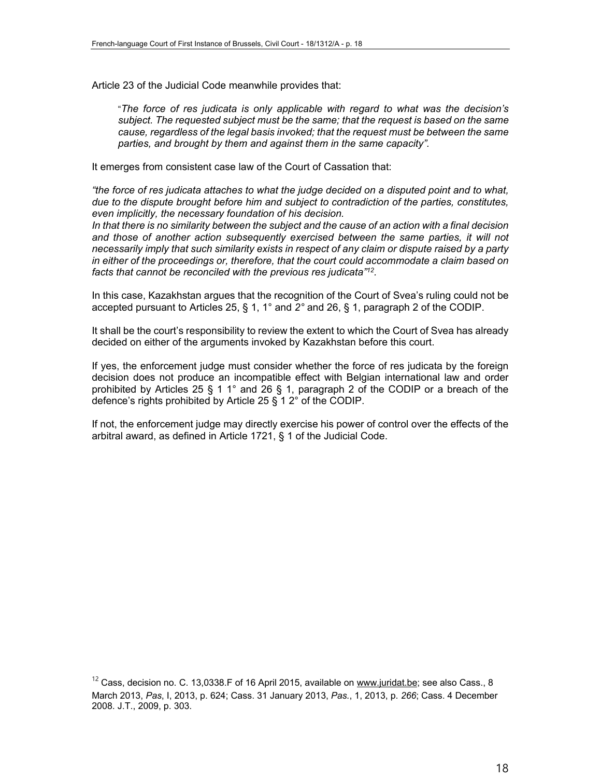Article 23 of the Judicial Code meanwhile provides that:

"*The force of res judicata is only applicable with regard to what was the decision's subject. The requested subject must be the same; that the request is based on the same cause, regardless of the legal basis invoked; that the request must be between the same parties, and brought by them and against them in the same capacity".* 

It emerges from consistent case law of the Court of Cassation that:

*"the force of res judicata attaches to what the judge decided on a disputed point and to what, due to the dispute brought before him and subject to contradiction of the parties, constitutes, even implicitly, the necessary foundation of his decision.*

*In that there is no similarity between the subject and the cause of an action with a final decision and those of another action subsequently exercised between the same parties, it will not necessarily imply that such similarity exists in respect of any claim or dispute raised by a party in either of the proceedings or, therefore, that the court could accommodate a claim based on facts that cannot be reconciled with the previous res judicata"12.*

In this case, Kazakhstan argues that the recognition of the Court of Svea's ruling could not be accepted pursuant to Articles 25, § 1, 1° and *2°* and 26, § 1, paragraph 2 of the CODIP.

It shall be the court's responsibility to review the extent to which the Court of Svea has already decided on either of the arguments invoked by Kazakhstan before this court.

If yes, the enforcement judge must consider whether the force of res judicata by the foreign decision does not produce an incompatible effect with Belgian international law and order prohibited by Articles 25 § 1 1° and 26 § 1, paragraph 2 of the CODIP or a breach of the defence's rights prohibited by Article 25 § 1 2° of the CODIP.

If not, the enforcement judge may directly exercise his power of control over the effects of the arbitral award, as defined in Article 1721, § 1 of the Judicial Code.

 $12$  Cass, decision no. C. 13,0338.F of 16 April 2015, available on www.juridat.be; see also Cass., 8 March 2013, *Pas*, I, 2013, p. 624; Cass. 31 January 2013, *Pas.*, 1, 2013, p. *266*; Cass. 4 December 2008. J.T., 2009, p. 303.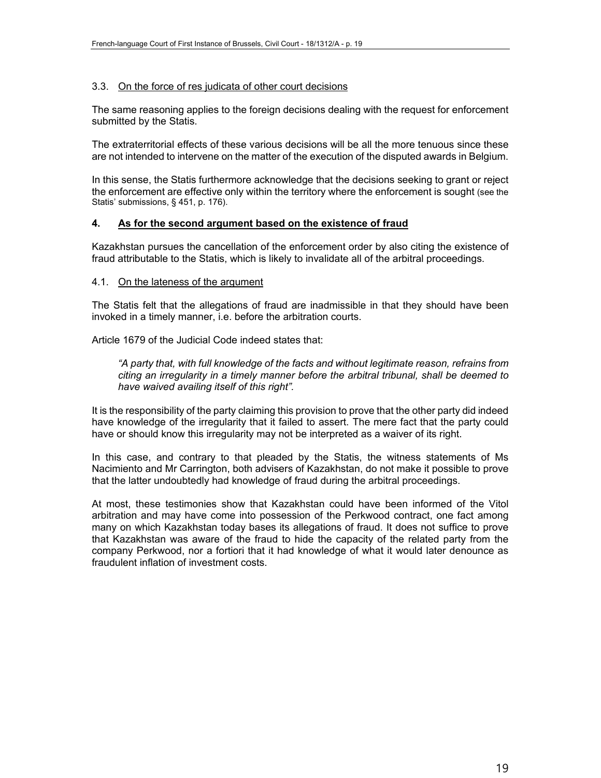#### 3.3. On the force of res judicata of other court decisions

The same reasoning applies to the foreign decisions dealing with the request for enforcement submitted by the Statis.

The extraterritorial effects of these various decisions will be all the more tenuous since these are not intended to intervene on the matter of the execution of the disputed awards in Belgium.

In this sense, the Statis furthermore acknowledge that the decisions seeking to grant or reject the enforcement are effective only within the territory where the enforcement is sought (see the Statis' submissions, § 451, p. 176).

#### **4. As for the second argument based on the existence of fraud**

Kazakhstan pursues the cancellation of the enforcement order by also citing the existence of fraud attributable to the Statis, which is likely to invalidate all of the arbitral proceedings.

#### 4.1. On the lateness of the argument

The Statis felt that the allegations of fraud are inadmissible in that they should have been invoked in a timely manner, i.e. before the arbitration courts.

Article 1679 of the Judicial Code indeed states that:

*"A party that, with full knowledge of the facts and without legitimate reason, refrains from citing an irregularity in a timely manner before the arbitral tribunal, shall be deemed to have waived availing itself of this right".*

It is the responsibility of the party claiming this provision to prove that the other party did indeed have knowledge of the irregularity that it failed to assert. The mere fact that the party could have or should know this irregularity may not be interpreted as a waiver of its right.

In this case, and contrary to that pleaded by the Statis, the witness statements of Ms Nacimiento and Mr Carrington, both advisers of Kazakhstan, do not make it possible to prove that the latter undoubtedly had knowledge of fraud during the arbitral proceedings.

At most, these testimonies show that Kazakhstan could have been informed of the Vitol arbitration and may have come into possession of the Perkwood contract, one fact among many on which Kazakhstan today bases its allegations of fraud. It does not suffice to prove that Kazakhstan was aware of the fraud to hide the capacity of the related party from the company Perkwood, nor a fortiori that it had knowledge of what it would later denounce as fraudulent inflation of investment costs.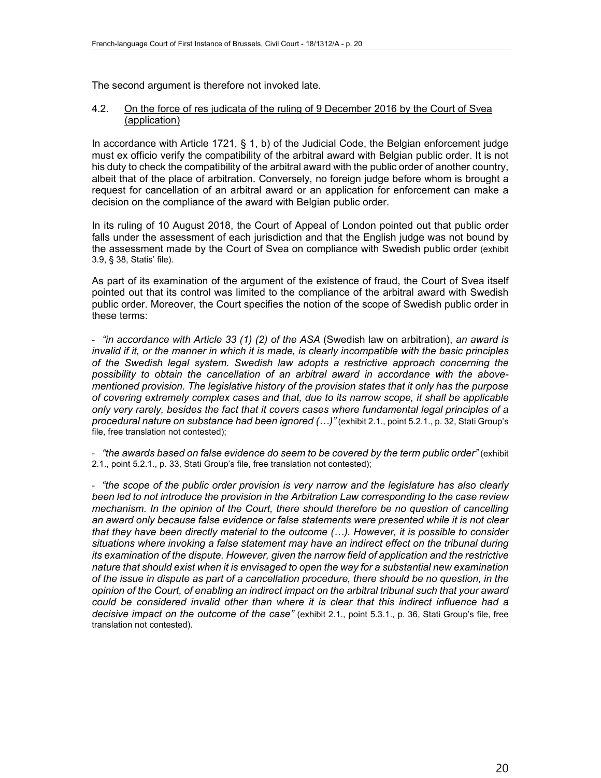The second argument is therefore not invoked late.

#### 4.2. On the force of res judicata of the ruling of 9 December 2016 by the Court of Svea (application)

In accordance with Article 1721, § 1, b) of the Judicial Code, the Belgian enforcement judge must ex officio verify the compatibility of the arbitral award with Belgian public order. It is not his duty to check the compatibility of the arbitral award with the public order of another country, albeit that of the place of arbitration. Conversely, no foreign judge before whom is brought a request for cancellation of an arbitral award or an application for enforcement can make a decision on the compliance of the award with Belgian public order.

In its ruling of 10 August 2018, the Court of Appeal of London pointed out that public order falls under the assessment of each jurisdiction and that the English judge was not bound by the assessment made by the Court of Svea on compliance with Swedish public order (exhibit 3.9, § 38, Statis' file).

As part of its examination of the argument of the existence of fraud, the Court of Svea itself pointed out that its control was limited to the compliance of the arbitral award with Swedish public order. Moreover, the Court specifies the notion of the scope of Swedish public order in these terms:

‐ *"in accordance with Article 33 (1) (2) of the ASA* (Swedish law on arbitration), *an award is invalid if it, or the manner in which it is made, is clearly incompatible with the basic principles of the Swedish legal system. Swedish law adopts a restrictive approach concerning the possibility to obtain the cancellation of an arbitral award in accordance with the abovementioned provision. The legislative history of the provision states that it only has the purpose of covering extremely complex cases and that, due to its narrow scope, it shall be applicable only very rarely, besides the fact that it covers cases where fundamental legal principles of a procedural nature on substance had been ignored (…)"* (exhibit 2.1., point 5.2.1., p. 32, Stati Group's file, free translation not contested);

‐ *"the awards based on false evidence do seem to be covered by the term public order"* (exhibit 2.1., point 5.2.1., p. 33, Stati Group's file, free translation not contested);

‐ *"the scope of the public order provision is very narrow and the legislature has also clearly been led to not introduce the provision in the Arbitration Law corresponding to the case review mechanism. In the opinion of the Court, there should therefore be no question of cancelling an award only because false evidence or false statements were presented while it is not clear that they have been directly material to the outcome (…). However, it is possible to consider situations where invoking a false statement may have an indirect effect on the tribunal during its examination of the dispute. However, given the narrow field of application and the restrictive nature that should exist when it is envisaged to open the way for a substantial new examination of the issue in dispute as part of a cancellation procedure, there should be no question, in the opinion of the Court, of enabling an indirect impact on the arbitral tribunal such that your award could be considered invalid other than where it is clear that this indirect influence had a decisive impact on the outcome of the case"* (exhibit 2.1., point 5.3.1., p. 36, Stati Group's file, free translation not contested).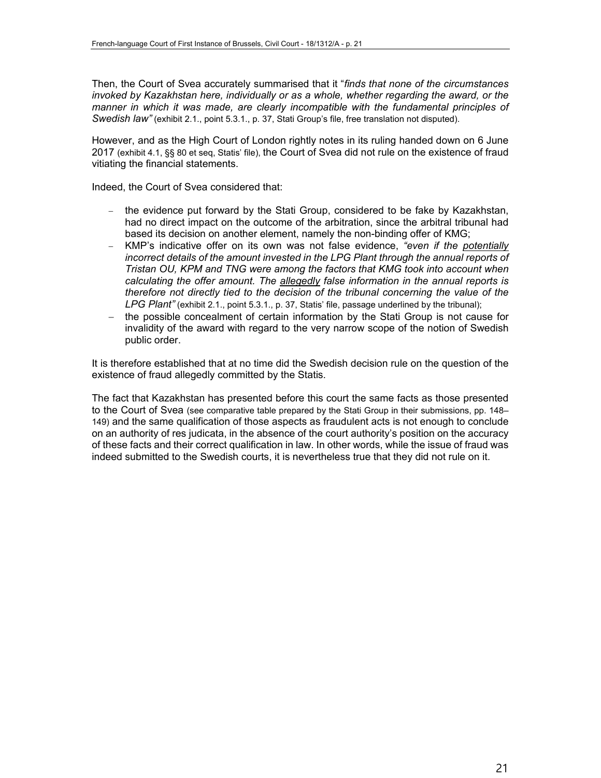Then, the Court of Svea accurately summarised that it "*finds that none of the circumstances invoked by Kazakhstan here, individually or as a whole, whether regarding the award, or the manner in which it was made, are clearly incompatible with the fundamental principles of Swedish law"* (exhibit 2.1., point 5.3.1., p. 37, Stati Group's file, free translation not disputed).

However, and as the High Court of London rightly notes in its ruling handed down on 6 June 2017 (exhibit 4.1, §§ 80 et seq, Statis' file), the Court of Svea did not rule on the existence of fraud vitiating the financial statements.

Indeed, the Court of Svea considered that:

- the evidence put forward by the Stati Group, considered to be fake by Kazakhstan, had no direct impact on the outcome of the arbitration, since the arbitral tribunal had based its decision on another element, namely the non-binding offer of KMG;
- KMP's indicative offer on its own was not false evidence, *"even if the potentially incorrect details of the amount invested in the LPG Plant through the annual reports of Tristan OU, KPM and TNG were among the factors that KMG took into account when calculating the offer amount. The allegedly false information in the annual reports is therefore not directly tied to the decision of the tribunal concerning the value of the LPG Plant"* (exhibit 2.1., point 5.3.1., p. 37, Statis' file, passage underlined by the tribunal);
- the possible concealment of certain information by the Stati Group is not cause for invalidity of the award with regard to the very narrow scope of the notion of Swedish public order.

It is therefore established that at no time did the Swedish decision rule on the question of the existence of fraud allegedly committed by the Statis.

The fact that Kazakhstan has presented before this court the same facts as those presented to the Court of Svea (see comparative table prepared by the Stati Group in their submissions, pp. 148– 149) and the same qualification of those aspects as fraudulent acts is not enough to conclude on an authority of res judicata, in the absence of the court authority's position on the accuracy of these facts and their correct qualification in law. In other words, while the issue of fraud was indeed submitted to the Swedish courts, it is nevertheless true that they did not rule on it.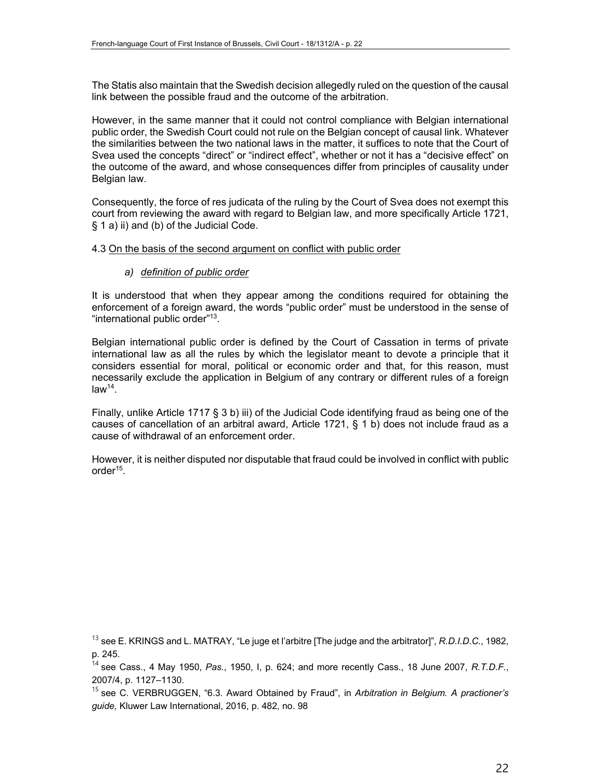The Statis also maintain that the Swedish decision allegedly ruled on the question of the causal link between the possible fraud and the outcome of the arbitration.

However, in the same manner that it could not control compliance with Belgian international public order, the Swedish Court could not rule on the Belgian concept of causal link. Whatever the similarities between the two national laws in the matter, it suffices to note that the Court of Svea used the concepts "direct" or "indirect effect", whether or not it has a "decisive effect" on the outcome of the award, and whose consequences differ from principles of causality under Belgian law.

Consequently, the force of res judicata of the ruling by the Court of Svea does not exempt this court from reviewing the award with regard to Belgian law, and more specifically Article 1721, § 1 a) ii) and (b) of the Judicial Code.

#### 4.3 On the basis of the second argument on conflict with public order

#### *a) definition of public order*

It is understood that when they appear among the conditions required for obtaining the enforcement of a foreign award, the words "public order" must be understood in the sense of "international public order"13.

Belgian international public order is defined by the Court of Cassation in terms of private international law as all the rules by which the legislator meant to devote a principle that it considers essential for moral, political or economic order and that, for this reason, must necessarily exclude the application in Belgium of any contrary or different rules of a foreign  $law<sup>14</sup>$ .

Finally, unlike Article 1717 § 3 b) iii) of the Judicial Code identifying fraud as being one of the causes of cancellation of an arbitral award, Article 1721, § 1 b) does not include fraud as a cause of withdrawal of an enforcement order.

However, it is neither disputed nor disputable that fraud could be involved in conflict with public order15.

<sup>13</sup> see E. KRINGS and L. MATRAY, "Le juge et l'arbitre [The judge and the arbitrator]", *R.D.I.D.C.*, 1982, p. 245.

<sup>14</sup> see Cass., 4 May 1950, *Pas.*, 1950, I, p. 624; and more recently Cass., 18 June 2007, *R.T.D.F.*, 2007/4, p. 1127–1130.

<sup>15</sup> see C. VERBRUGGEN, "6.3. Award Obtained by Fraud", in *Arbitration in Belgium. A practioner's guide,* Kluwer Law International, 2016, p. 482, no. 98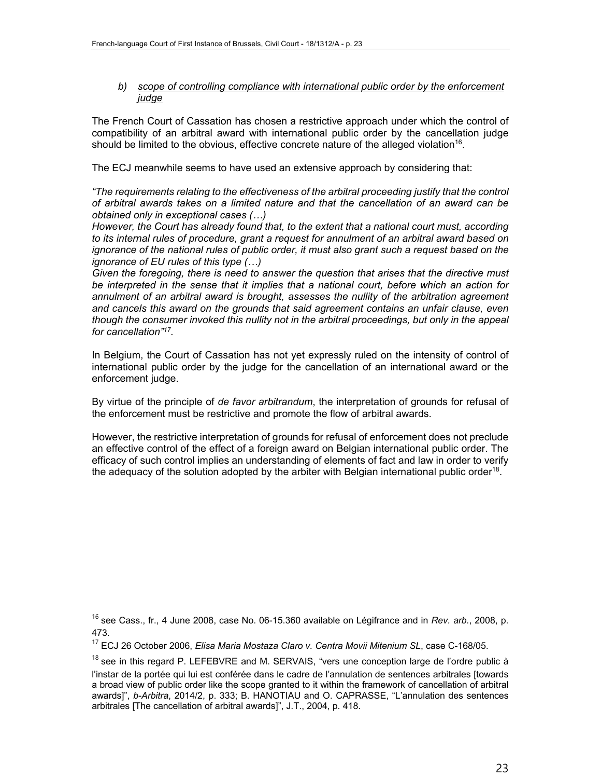#### *b) scope of controlling compliance with international public order by the enforcement judge*

The French Court of Cassation has chosen a restrictive approach under which the control of compatibility of an arbitral award with international public order by the cancellation judge should be limited to the obvious, effective concrete nature of the alleged violation<sup>16</sup>.

The ECJ meanwhile seems to have used an extensive approach by considering that:

*"The requirements relating to the effectiveness of the arbitral proceeding justify that the control of arbitral awards takes on a limited nature and that the cancellation of an award can be obtained only in exceptional cases (…)*

*However, the Court has already found that, to the extent that a national court must, according to its internal rules of procedure, grant a request for annulment of an arbitral award based on ignorance of the national rules of public order, it must also grant such a request based on the ignorance of EU rules of this type (…)*

*Given the foregoing, there is need to answer the question that arises that the directive must be interpreted in the sense that it implies that a national court, before which an action for annulment of an arbitral award is brought, assesses the nullity of the arbitration agreement and cancels this award on the grounds that said agreement contains an unfair clause, even*  though the consumer invoked this nullity not in the arbitral proceedings, but only in the appeal *for cancellation"17.* 

In Belgium, the Court of Cassation has not yet expressly ruled on the intensity of control of international public order by the judge for the cancellation of an international award or the enforcement judge.

By virtue of the principle of *de favor arbitrandum*, the interpretation of grounds for refusal of the enforcement must be restrictive and promote the flow of arbitral awards.

However, the restrictive interpretation of grounds for refusal of enforcement does not preclude an effective control of the effect of a foreign award on Belgian international public order. The efficacy of such control implies an understanding of elements of fact and law in order to verify the adequacy of the solution adopted by the arbiter with Belgian international public order<sup>18</sup>.

<sup>16</sup> see Cass., fr., 4 June 2008, case No. 06-15.360 available on Légifrance and in *Rev. arb.*, 2008, p. 473.

<sup>17</sup> ECJ 26 October 2006, *Elisa Maria Mostaza Claro v. Centra Movii Mitenium SL*, case C-168/05.

 $18$  see in this regard P. LEFEBVRE and M. SERVAIS, "vers une conception large de l'ordre public à l'instar de la portée qui lui est conférée dans le cadre de l'annulation de sentences arbitrales [towards a broad view of public order like the scope granted to it within the framework of cancellation of arbitral awards]", *b-Arbitra*, 2014/2, p. 333; B. HANOTIAU and O. CAPRASSE, "L'annulation des sentences arbitrales [The cancellation of arbitral awards]", J.T., 2004, p. 418.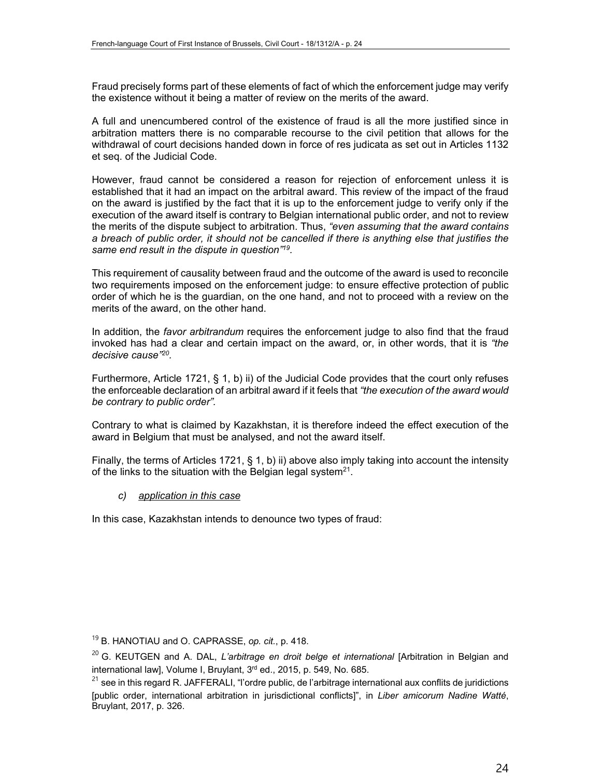Fraud precisely forms part of these elements of fact of which the enforcement judge may verify the existence without it being a matter of review on the merits of the award.

A full and unencumbered control of the existence of fraud is all the more justified since in arbitration matters there is no comparable recourse to the civil petition that allows for the withdrawal of court decisions handed down in force of res judicata as set out in Articles 1132 et seq. of the Judicial Code.

However, fraud cannot be considered a reason for rejection of enforcement unless it is established that it had an impact on the arbitral award. This review of the impact of the fraud on the award is justified by the fact that it is up to the enforcement judge to verify only if the execution of the award itself is contrary to Belgian international public order, and not to review the merits of the dispute subject to arbitration. Thus, *"even assuming that the award contains a breach of public order, it should not be cancelled if there is anything else that justifies the same end result in the dispute in question"19.* 

This requirement of causality between fraud and the outcome of the award is used to reconcile two requirements imposed on the enforcement judge: to ensure effective protection of public order of which he is the guardian, on the one hand, and not to proceed with a review on the merits of the award, on the other hand.

In addition, the *favor arbitrandum* requires the enforcement judge to also find that the fraud invoked has had a clear and certain impact on the award, or, in other words, that it is *"the decisive cause"20.* 

Furthermore, Article 1721, § 1, b) ii) of the Judicial Code provides that the court only refuses the enforceable declaration of an arbitral award if it feels that *"the execution of the award would be contrary to public order".* 

Contrary to what is claimed by Kazakhstan, it is therefore indeed the effect execution of the award in Belgium that must be analysed, and not the award itself.

Finally, the terms of Articles 1721, § 1, b) ii) above also imply taking into account the intensity of the links to the situation with the Belgian legal system<sup>21</sup>.

#### *c) application in this case*

In this case, Kazakhstan intends to denounce two types of fraud:

<sup>19</sup> B. HANOTIAU and O. CAPRASSE, *op. cit.*, p. 418.

<sup>&</sup>lt;sup>20</sup> G. KEUTGEN and A. DAL, *L'arbitrage en droit belge et international* [Arbitration in Belgian and international law], Volume I, Bruylant, 3<sup>rd</sup> ed., 2015, p. 549, No. 685.

 $21$  see in this regard R. JAFFERALI, "l'ordre public, de l'arbitrage international aux conflits de juridictions [public order, international arbitration in jurisdictional conflicts]", in *Liber amicorum Nadine Watté*, Bruylant, 2017, p. 326.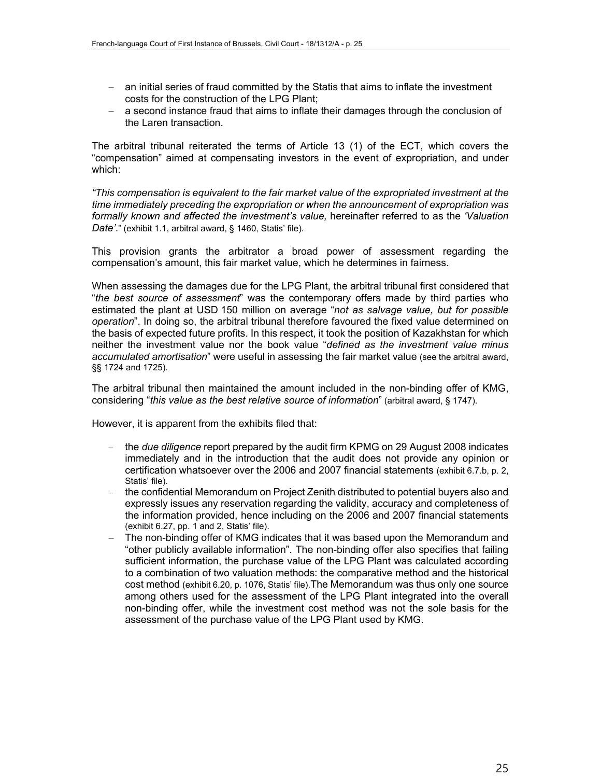- an initial series of fraud committed by the Statis that aims to inflate the investment costs for the construction of the LPG Plant;
- a second instance fraud that aims to inflate their damages through the conclusion of the Laren transaction.

The arbitral tribunal reiterated the terms of Article 13 (1) of the ECT, which covers the "compensation" aimed at compensating investors in the event of expropriation, and under which:

*"This compensation is equivalent to the fair market value of the expropriated investment at the time immediately preceding the expropriation or when the announcement of expropriation was formally known and affected the investment's value,* hereinafter referred to as the *'Valuation Date'*." (exhibit 1.1, arbitral award, § 1460, Statis' file).

This provision grants the arbitrator a broad power of assessment regarding the compensation's amount, this fair market value, which he determines in fairness.

When assessing the damages due for the LPG Plant, the arbitral tribunal first considered that "*the best source of assessment*" was the contemporary offers made by third parties who estimated the plant at USD 150 million on average "*not as salvage value, but for possible operation*". In doing so, the arbitral tribunal therefore favoured the fixed value determined on the basis of expected future profits. In this respect, it took the position of Kazakhstan for which neither the investment value nor the book value "*defined as the investment value minus accumulated amortisation*" were useful in assessing the fair market value (see the arbitral award, §§ 1724 and 1725).

The arbitral tribunal then maintained the amount included in the non-binding offer of KMG, considering "*this value as the best relative source of information*" (arbitral award, § 1747).

However, it is apparent from the exhibits filed that:

- the *due diligence* report prepared by the audit firm KPMG on 29 August 2008 indicates immediately and in the introduction that the audit does not provide any opinion or certification whatsoever over the 2006 and 2007 financial statements (exhibit 6.7.b, p. 2, Statis' file).
- the confidential Memorandum on Project Zenith distributed to potential buyers also and expressly issues any reservation regarding the validity, accuracy and completeness of the information provided, hence including on the 2006 and 2007 financial statements (exhibit 6.27, pp. 1 and 2, Statis' file).
- The non-binding offer of KMG indicates that it was based upon the Memorandum and "other publicly available information". The non-binding offer also specifies that failing sufficient information, the purchase value of the LPG Plant was calculated according to a combination of two valuation methods: the comparative method and the historical cost method (exhibit 6.20, p. 1076, Statis' file).The Memorandum was thus only one source among others used for the assessment of the LPG Plant integrated into the overall non-binding offer, while the investment cost method was not the sole basis for the assessment of the purchase value of the LPG Plant used by KMG.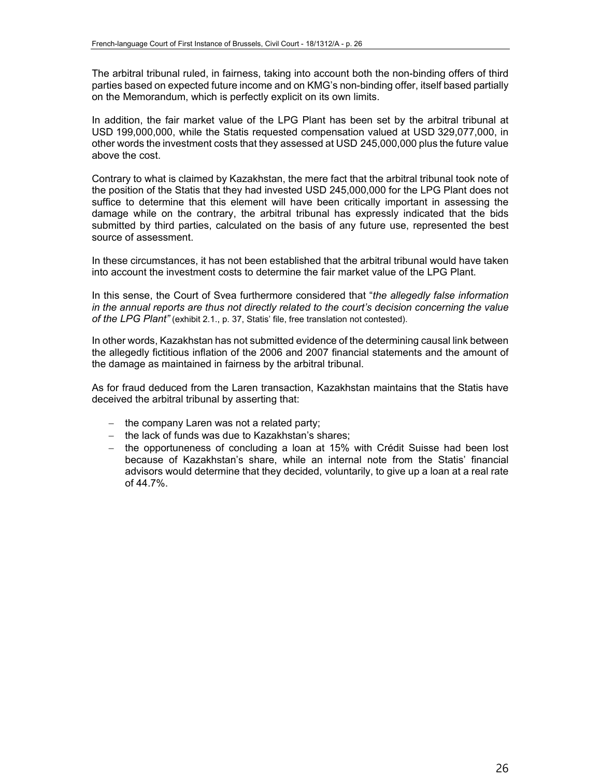The arbitral tribunal ruled, in fairness, taking into account both the non-binding offers of third parties based on expected future income and on KMG's non-binding offer, itself based partially on the Memorandum, which is perfectly explicit on its own limits.

In addition, the fair market value of the LPG Plant has been set by the arbitral tribunal at USD 199,000,000, while the Statis requested compensation valued at USD 329,077,000, in other words the investment costs that they assessed at USD 245,000,000 plus the future value above the cost.

Contrary to what is claimed by Kazakhstan, the mere fact that the arbitral tribunal took note of the position of the Statis that they had invested USD 245,000,000 for the LPG Plant does not suffice to determine that this element will have been critically important in assessing the damage while on the contrary, the arbitral tribunal has expressly indicated that the bids submitted by third parties, calculated on the basis of any future use, represented the best source of assessment.

In these circumstances, it has not been established that the arbitral tribunal would have taken into account the investment costs to determine the fair market value of the LPG Plant.

In this sense, the Court of Svea furthermore considered that "*the allegedly false information in the annual reports are thus not directly related to the court's decision concerning the value of the LPG Plant"* (exhibit 2.1., p. 37, Statis' file, free translation not contested).

In other words, Kazakhstan has not submitted evidence of the determining causal link between the allegedly fictitious inflation of the 2006 and 2007 financial statements and the amount of the damage as maintained in fairness by the arbitral tribunal.

As for fraud deduced from the Laren transaction, Kazakhstan maintains that the Statis have deceived the arbitral tribunal by asserting that:

- $-$  the company Laren was not a related party;
- $-$  the lack of funds was due to Kazakhstan's shares;
- $-$  the opportuneness of concluding a loan at 15% with Crédit Suisse had been lost because of Kazakhstan's share, while an internal note from the Statis' financial advisors would determine that they decided, voluntarily, to give up a loan at a real rate of 44.7%.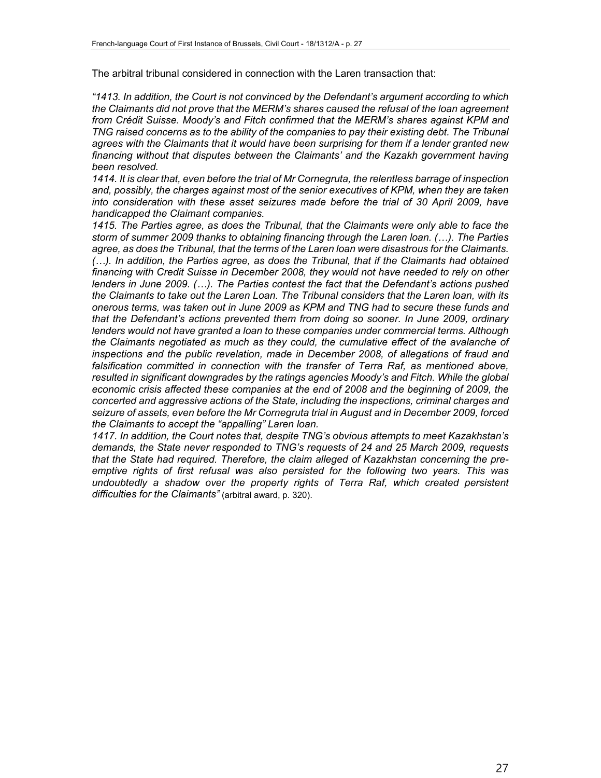The arbitral tribunal considered in connection with the Laren transaction that:

*"1413. In addition, the Court is not convinced by the Defendant's argument according to which the Claimants did not prove that the MERM's shares caused the refusal of the loan agreement from Crédit Suisse. Moody's and Fitch confirmed that the MERM's shares against KPM and TNG raised concerns as to the ability of the companies to pay their existing debt. The Tribunal agrees with the Claimants that it would have been surprising for them if a lender granted new financing without that disputes between the Claimants' and the Kazakh government having been resolved.*

*1414. It is clear that, even before the trial of Mr Cornegruta, the relentless barrage of inspection and, possibly, the charges against most of the senior executives of KPM, when they are taken into consideration with these asset seizures made before the trial of 30 April 2009, have handicapped the Claimant companies.*

*1415. The Parties agree, as does the Tribunal, that the Claimants were only able to face the storm of summer 2009 thanks to obtaining financing through the Laren loan. (…). The Parties agree, as does the Tribunal, that the terms of the Laren loan were disastrous for the Claimants. (…). In addition, the Parties agree, as does the Tribunal, that if the Claimants had obtained financing with Credit Suisse in December 2008, they would not have needed to rely on other lenders in June 2009. (…). The Parties contest the fact that the Defendant's actions pushed the Claimants to take out the Laren Loan. The Tribunal considers that the Laren loan, with its onerous terms, was taken out in June 2009 as KPM and TNG had to secure these funds and that the Defendant's actions prevented them from doing so sooner. In June 2009, ordinary lenders would not have granted a loan to these companies under commercial terms. Although the Claimants negotiated as much as they could, the cumulative effect of the avalanche of inspections and the public revelation, made in December 2008, of allegations of fraud and falsification committed in connection with the transfer of Terra Raf, as mentioned above, resulted in significant downgrades by the ratings agencies Moody's and Fitch. While the global economic crisis affected these companies at the end of 2008 and the beginning of 2009, the concerted and aggressive actions of the State, including the inspections, criminal charges and seizure of assets, even before the Mr Cornegruta trial in August and in December 2009, forced the Claimants to accept the "appalling" Laren loan.*

*1417. In addition, the Court notes that, despite TNG's obvious attempts to meet Kazakhstan's demands, the State never responded to TNG's requests of 24 and 25 March 2009, requests that the State had required. Therefore, the claim alleged of Kazakhstan concerning the preemptive rights of first refusal was also persisted for the following two years. This was undoubtedly a shadow over the property rights of Terra Raf, which created persistent difficulties for the Claimants"* (arbitral award, p. 320).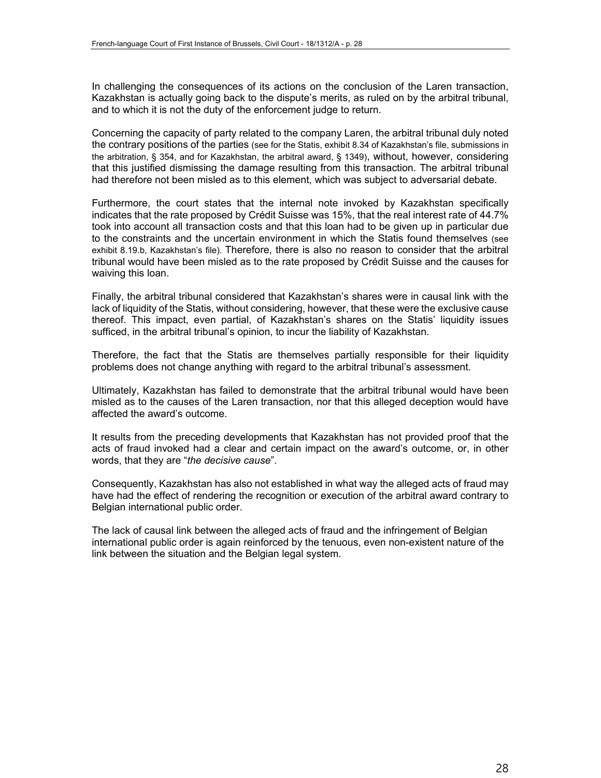In challenging the consequences of its actions on the conclusion of the Laren transaction, Kazakhstan is actually going back to the dispute's merits, as ruled on by the arbitral tribunal, and to which it is not the duty of the enforcement judge to return.

Concerning the capacity of party related to the company Laren, the arbitral tribunal duly noted the contrary positions of the parties (see for the Statis, exhibit 8.34 of Kazakhstan's file, submissions in the arbitration, § 354, and for Kazakhstan, the arbitral award, § 1349), without, however, considering that this justified dismissing the damage resulting from this transaction. The arbitral tribunal had therefore not been misled as to this element, which was subject to adversarial debate.

Furthermore, the court states that the internal note invoked by Kazakhstan specifically indicates that the rate proposed by Crédit Suisse was 15%, that the real interest rate of 44.7% took into account all transaction costs and that this loan had to be given up in particular due to the constraints and the uncertain environment in which the Statis found themselves (see exhibit 8.19.b, Kazakhstan's file). Therefore, there is also no reason to consider that the arbitral tribunal would have been misled as to the rate proposed by Crédit Suisse and the causes for waiving this loan.

Finally, the arbitral tribunal considered that Kazakhstan's shares were in causal link with the lack of liquidity of the Statis, without considering, however, that these were the exclusive cause thereof. This impact, even partial, of Kazakhstan's shares on the Statis' liquidity issues sufficed, in the arbitral tribunal's opinion, to incur the liability of Kazakhstan.

Therefore, the fact that the Statis are themselves partially responsible for their liquidity problems does not change anything with regard to the arbitral tribunal's assessment.

Ultimately, Kazakhstan has failed to demonstrate that the arbitral tribunal would have been misled as to the causes of the Laren transaction, nor that this alleged deception would have affected the award's outcome.

It results from the preceding developments that Kazakhstan has not provided proof that the acts of fraud invoked had a clear and certain impact on the award's outcome, or, in other words, that they are "*the decisive cause*".

Consequently, Kazakhstan has also not established in what way the alleged acts of fraud may have had the effect of rendering the recognition or execution of the arbitral award contrary to Belgian international public order.

The lack of causal link between the alleged acts of fraud and the infringement of Belgian international public order is again reinforced by the tenuous, even non-existent nature of the link between the situation and the Belgian legal system.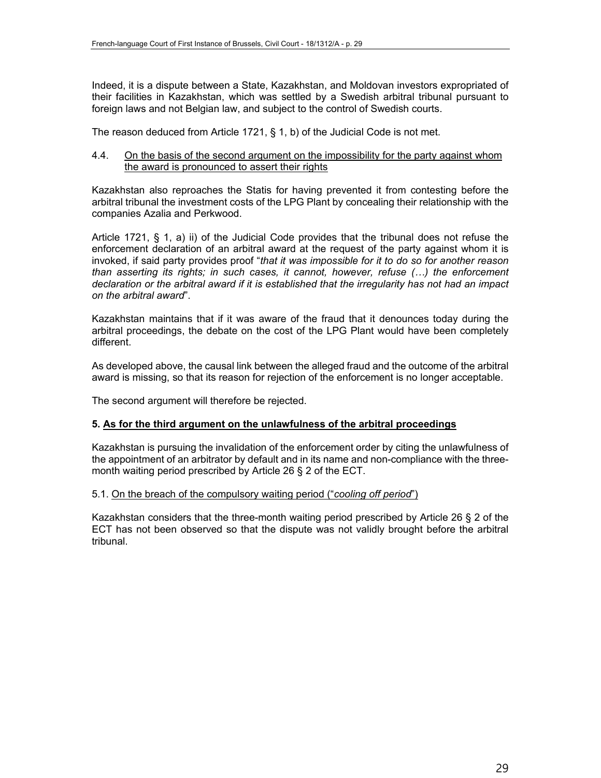Indeed, it is a dispute between a State, Kazakhstan, and Moldovan investors expropriated of their facilities in Kazakhstan, which was settled by a Swedish arbitral tribunal pursuant to foreign laws and not Belgian law, and subject to the control of Swedish courts.

The reason deduced from Article 1721, § 1, b) of the Judicial Code is not met.

#### 4.4. On the basis of the second argument on the impossibility for the party against whom the award is pronounced to assert their rights

Kazakhstan also reproaches the Statis for having prevented it from contesting before the arbitral tribunal the investment costs of the LPG Plant by concealing their relationship with the companies Azalia and Perkwood.

Article 1721, § 1, a) ii) of the Judicial Code provides that the tribunal does not refuse the enforcement declaration of an arbitral award at the request of the party against whom it is invoked, if said party provides proof "*that it was impossible for it to do so for another reason than asserting its rights; in such cases, it cannot, however, refuse (…) the enforcement declaration or the arbitral award if it is established that the irregularity has not had an impact on the arbitral award*".

Kazakhstan maintains that if it was aware of the fraud that it denounces today during the arbitral proceedings, the debate on the cost of the LPG Plant would have been completely different.

As developed above, the causal link between the alleged fraud and the outcome of the arbitral award is missing, so that its reason for rejection of the enforcement is no longer acceptable.

The second argument will therefore be rejected.

#### **5. As for the third argument on the unlawfulness of the arbitral proceedings**

Kazakhstan is pursuing the invalidation of the enforcement order by citing the unlawfulness of the appointment of an arbitrator by default and in its name and non-compliance with the threemonth waiting period prescribed by Article 26 § 2 of the ECT.

#### 5.1. On the breach of the compulsory waiting period ("*cooling off period*")

Kazakhstan considers that the three-month waiting period prescribed by Article 26 § 2 of the ECT has not been observed so that the dispute was not validly brought before the arbitral tribunal.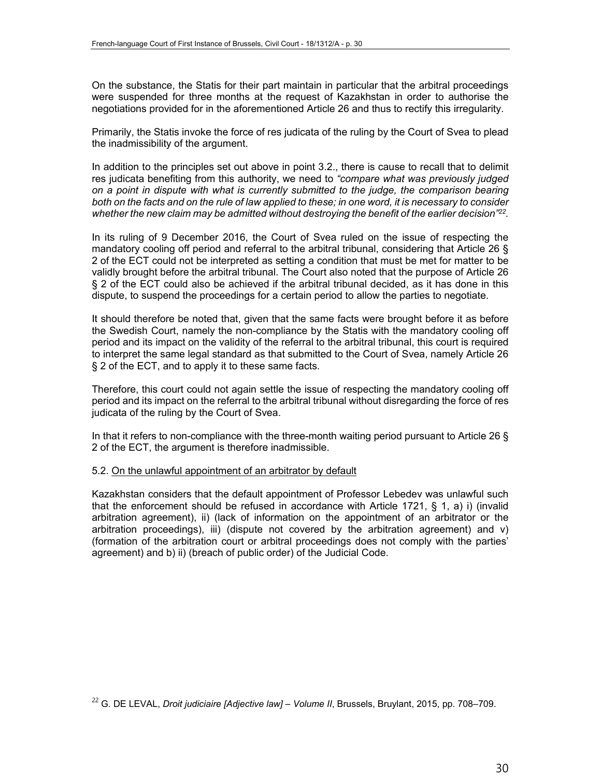On the substance, the Statis for their part maintain in particular that the arbitral proceedings were suspended for three months at the request of Kazakhstan in order to authorise the negotiations provided for in the aforementioned Article 26 and thus to rectify this irregularity.

Primarily, the Statis invoke the force of res judicata of the ruling by the Court of Svea to plead the inadmissibility of the argument.

In addition to the principles set out above in point 3.2., there is cause to recall that to delimit res judicata benefiting from this authority, we need to *"compare what was previously judged on a point in dispute with what is currently submitted to the judge, the comparison bearing both on the facts and on the rule of law applied to these; in one word, it is necessary to consider whether the new claim may be admitted without destroying the benefit of the earlier decision"22.* 

In its ruling of 9 December 2016, the Court of Svea ruled on the issue of respecting the mandatory cooling off period and referral to the arbitral tribunal, considering that Article 26 § 2 of the ECT could not be interpreted as setting a condition that must be met for matter to be validly brought before the arbitral tribunal. The Court also noted that the purpose of Article 26 § 2 of the ECT could also be achieved if the arbitral tribunal decided, as it has done in this dispute, to suspend the proceedings for a certain period to allow the parties to negotiate.

It should therefore be noted that, given that the same facts were brought before it as before the Swedish Court, namely the non-compliance by the Statis with the mandatory cooling off period and its impact on the validity of the referral to the arbitral tribunal, this court is required to interpret the same legal standard as that submitted to the Court of Svea, namely Article 26 § 2 of the ECT, and to apply it to these same facts.

Therefore, this court could not again settle the issue of respecting the mandatory cooling off period and its impact on the referral to the arbitral tribunal without disregarding the force of res judicata of the ruling by the Court of Svea.

In that it refers to non-compliance with the three-month waiting period pursuant to Article 26 § 2 of the ECT, the argument is therefore inadmissible.

#### 5.2. On the unlawful appointment of an arbitrator by default

Kazakhstan considers that the default appointment of Professor Lebedev was unlawful such that the enforcement should be refused in accordance with Article 1721,  $\S$  1, a) i) (invalid arbitration agreement), ii) (lack of information on the appointment of an arbitrator or the arbitration proceedings), iii) (dispute not covered by the arbitration agreement) and v) (formation of the arbitration court or arbitral proceedings does not comply with the parties' agreement) and b) ii) (breach of public order) of the Judicial Code.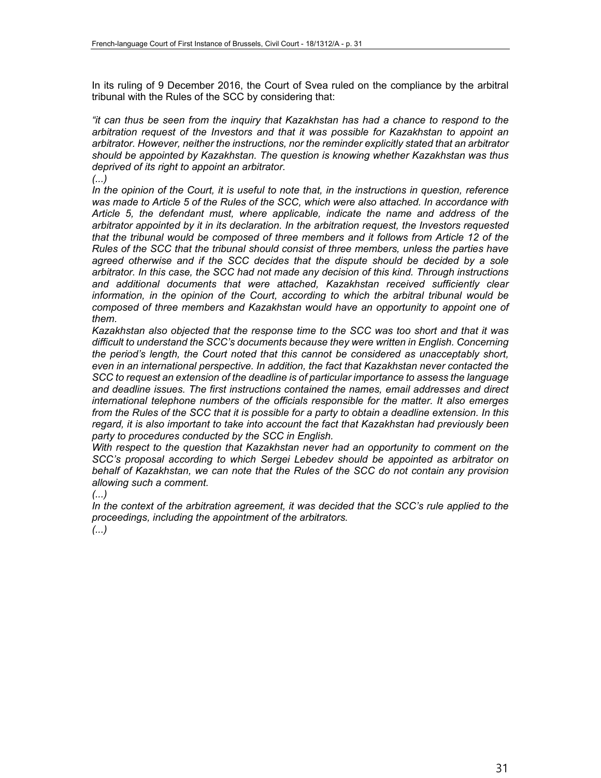In its ruling of 9 December 2016, the Court of Svea ruled on the compliance by the arbitral tribunal with the Rules of the SCC by considering that:

*"it can thus be seen from the inquiry that Kazakhstan has had a chance to respond to the arbitration request of the Investors and that it was possible for Kazakhstan to appoint an arbitrator. However, neither the instructions, nor the reminder explicitly stated that an arbitrator should be appointed by Kazakhstan. The question is knowing whether Kazakhstan was thus deprived of its right to appoint an arbitrator.*

*(...)*

*In the opinion of the Court, it is useful to note that, in the instructions in question, reference was made to Article 5 of the Rules of the SCC, which were also attached. In accordance with Article 5, the defendant must, where applicable, indicate the name and address of the arbitrator appointed by it in its declaration. In the arbitration request, the Investors requested that the tribunal would be composed of three members and it follows from Article 12 of the Rules of the SCC that the tribunal should consist of three members, unless the parties have agreed otherwise and if the SCC decides that the dispute should be decided by a sole arbitrator. In this case, the SCC had not made any decision of this kind. Through instructions and additional documents that were attached, Kazakhstan received sufficiently clear information, in the opinion of the Court, according to which the arbitral tribunal would be composed of three members and Kazakhstan would have an opportunity to appoint one of them.*

*Kazakhstan also objected that the response time to the SCC was too short and that it was difficult to understand the SCC's documents because they were written in English. Concerning the period's length, the Court noted that this cannot be considered as unacceptably short, even in an international perspective. In addition, the fact that Kazakhstan never contacted the SCC to request an extension of the deadline is of particular importance to assess the language and deadline issues. The first instructions contained the names, email addresses and direct international telephone numbers of the officials responsible for the matter. It also emerges from the Rules of the SCC that it is possible for a party to obtain a deadline extension. In this regard, it is also important to take into account the fact that Kazakhstan had previously been party to procedures conducted by the SCC in English.*

*With respect to the question that Kazakhstan never had an opportunity to comment on the SCC's proposal according to which Sergei Lebedev should be appointed as arbitrator on behalf of Kazakhstan, we can note that the Rules of the SCC do not contain any provision allowing such a comment.*

*(...)*

*In the context of the arbitration agreement, it was decided that the SCC's rule applied to the proceedings, including the appointment of the arbitrators.*

*(...)*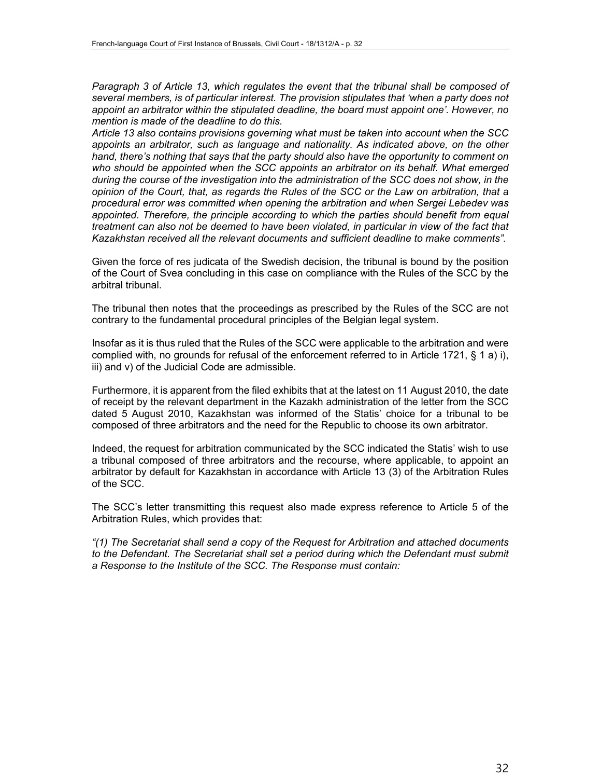Paragraph 3 of Article 13, which regulates the event that the tribunal shall be composed of *several members, is of particular interest. The provision stipulates that 'when a party does not appoint an arbitrator within the stipulated deadline, the board must appoint one'. However, no mention is made of the deadline to do this.*

*Article 13 also contains provisions governing what must be taken into account when the SCC appoints an arbitrator, such as language and nationality. As indicated above, on the other hand, there's nothing that says that the party should also have the opportunity to comment on who should be appointed when the SCC appoints an arbitrator on its behalf. What emerged during the course of the investigation into the administration of the SCC does not show, in the opinion of the Court, that, as regards the Rules of the SCC or the Law on arbitration, that a procedural error was committed when opening the arbitration and when Sergei Lebedev was appointed. Therefore, the principle according to which the parties should benefit from equal treatment can also not be deemed to have been violated, in particular in view of the fact that Kazakhstan received all the relevant documents and sufficient deadline to make comments".*

Given the force of res judicata of the Swedish decision, the tribunal is bound by the position of the Court of Svea concluding in this case on compliance with the Rules of the SCC by the arbitral tribunal.

The tribunal then notes that the proceedings as prescribed by the Rules of the SCC are not contrary to the fundamental procedural principles of the Belgian legal system.

Insofar as it is thus ruled that the Rules of the SCC were applicable to the arbitration and were complied with, no grounds for refusal of the enforcement referred to in Article 1721, § 1 a) i), iii) and v) of the Judicial Code are admissible.

Furthermore, it is apparent from the filed exhibits that at the latest on 11 August 2010, the date of receipt by the relevant department in the Kazakh administration of the letter from the SCC dated 5 August 2010, Kazakhstan was informed of the Statis' choice for a tribunal to be composed of three arbitrators and the need for the Republic to choose its own arbitrator.

Indeed, the request for arbitration communicated by the SCC indicated the Statis' wish to use a tribunal composed of three arbitrators and the recourse, where applicable, to appoint an arbitrator by default for Kazakhstan in accordance with Article 13 (3) of the Arbitration Rules of the SCC.

The SCC's letter transmitting this request also made express reference to Article 5 of the Arbitration Rules, which provides that:

*"(1) The Secretariat shall send a copy of the Request for Arbitration and attached documents*  to the Defendant. The Secretariat shall set a period during which the Defendant must submit *a Response to the Institute of the SCC. The Response must contain:*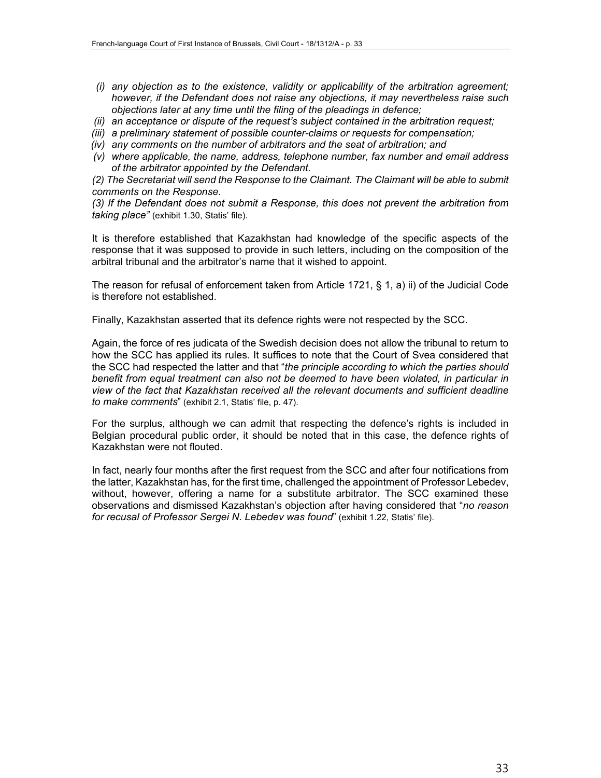- *(i) any objection as to the existence, validity or applicability of the arbitration agreement; however, if the Defendant does not raise any objections, it may nevertheless raise such objections later at any time until the filing of the pleadings in defence;*
- *(ii) an acceptance or dispute of the request's subject contained in the arbitration request;*
- *(iii) a preliminary statement of possible counter-claims or requests for compensation;*
- *(iv) any comments on the number of arbitrators and the seat of arbitration; and*
- *(v) where applicable, the name, address, telephone number, fax number and email address of the arbitrator appointed by the Defendant.*

*(2) The Secretariat will send the Response to the Claimant. The Claimant will be able to submit comments on the Response.*

*(3) If the Defendant does not submit a Response, this does not prevent the arbitration from taking place"* (exhibit 1.30, Statis' file).

It is therefore established that Kazakhstan had knowledge of the specific aspects of the response that it was supposed to provide in such letters, including on the composition of the arbitral tribunal and the arbitrator's name that it wished to appoint.

The reason for refusal of enforcement taken from Article 1721, § 1, a) ii) of the Judicial Code is therefore not established.

Finally, Kazakhstan asserted that its defence rights were not respected by the SCC.

Again, the force of res judicata of the Swedish decision does not allow the tribunal to return to how the SCC has applied its rules. It suffices to note that the Court of Svea considered that the SCC had respected the latter and that "*the principle according to which the parties should benefit from equal treatment can also not be deemed to have been violated, in particular in view of the fact that Kazakhstan received all the relevant documents and sufficient deadline to make comments*" (exhibit 2.1, Statis' file, p. 47).

For the surplus, although we can admit that respecting the defence's rights is included in Belgian procedural public order, it should be noted that in this case, the defence rights of Kazakhstan were not flouted.

In fact, nearly four months after the first request from the SCC and after four notifications from the latter, Kazakhstan has, for the first time, challenged the appointment of Professor Lebedev, without, however, offering a name for a substitute arbitrator. The SCC examined these observations and dismissed Kazakhstan's objection after having considered that "*no reason for recusal of Professor Sergei N. Lebedev was found*" (exhibit 1.22, Statis' file).